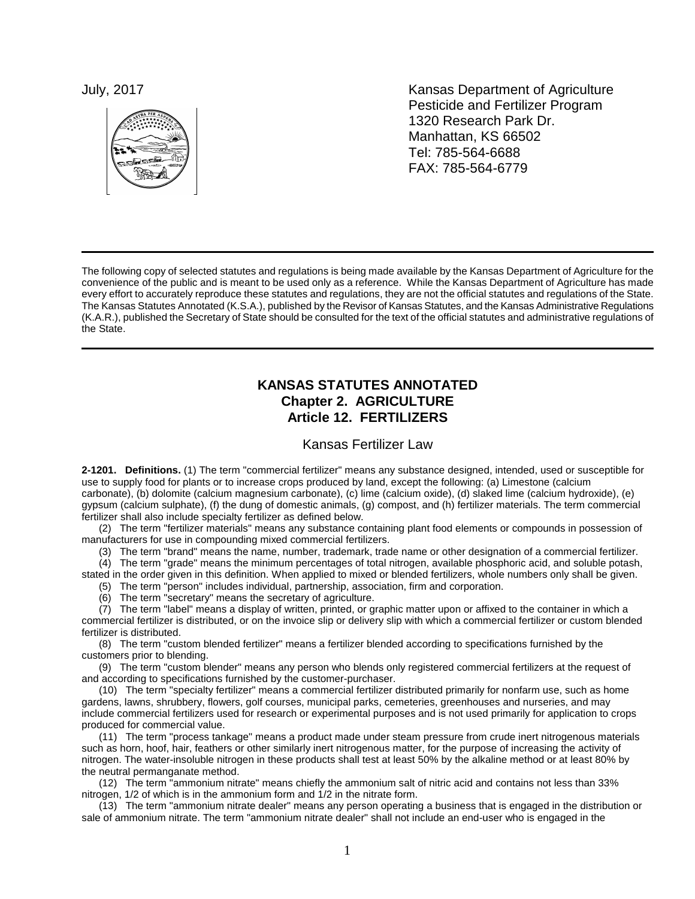

July, 2017 **Kansas Department of Agriculture** Pesticide and Fertilizer Program 1320 Research Park Dr. Manhattan, KS 66502 Tel: 785-564-6688 FAX: 785-564-6779

The following copy of selected statutes and regulations is being made available by the Kansas Department of Agriculture for the convenience of the public and is meant to be used only as a reference. While the Kansas Department of Agriculture has made every effort to accurately reproduce these statutes and regulations, they are not the official statutes and regulations of the State. The Kansas Statutes Annotated (K.S.A.), published by the Revisor of Kansas Statutes, and the Kansas Administrative Regulations (K.A.R.), published the Secretary of State should be consulted for the text of the official statutes and administrative regulations of the State.

# **KANSAS STATUTES ANNOTATED Chapter 2. AGRICULTURE Article 12. FERTILIZERS**

Kansas Fertilizer Law

**2-1201. Definitions.** (1) The term "commercial fertilizer" means any substance designed, intended, used or susceptible for use to supply food for plants or to increase crops produced by land, except the following: (a) Limestone (calcium carbonate), (b) dolomite (calcium magnesium carbonate), (c) lime (calcium oxide), (d) slaked lime (calcium hydroxide), (e) gypsum (calcium sulphate), (f) the dung of domestic animals, (g) compost, and (h) fertilizer materials. The term commercial fertilizer shall also include specialty fertilizer as defined below.

(2) The term "fertilizer materials" means any substance containing plant food elements or compounds in possession of manufacturers for use in compounding mixed commercial fertilizers.

(3) The term "brand" means the name, number, trademark, trade name or other designation of a commercial fertilizer.

(4) The term "grade" means the minimum percentages of total nitrogen, available phosphoric acid, and soluble potash, stated in the order given in this definition. When applied to mixed or blended fertilizers, whole numbers only shall be given.

(5) The term "person" includes individual, partnership, association, firm and corporation.

(6) The term "secretary" means the secretary of agriculture.

(7) The term "label" means a display of written, printed, or graphic matter upon or affixed to the container in which a commercial fertilizer is distributed, or on the invoice slip or delivery slip with which a commercial fertilizer or custom blended fertilizer is distributed.

(8) The term "custom blended fertilizer" means a fertilizer blended according to specifications furnished by the customers prior to blending.

(9) The term "custom blender" means any person who blends only registered commercial fertilizers at the request of and according to specifications furnished by the customer-purchaser.

(10) The term "specialty fertilizer" means a commercial fertilizer distributed primarily for nonfarm use, such as home gardens, lawns, shrubbery, flowers, golf courses, municipal parks, cemeteries, greenhouses and nurseries, and may include commercial fertilizers used for research or experimental purposes and is not used primarily for application to crops produced for commercial value.

(11) The term "process tankage" means a product made under steam pressure from crude inert nitrogenous materials such as horn, hoof, hair, feathers or other similarly inert nitrogenous matter, for the purpose of increasing the activity of nitrogen. The water-insoluble nitrogen in these products shall test at least 50% by the alkaline method or at least 80% by the neutral permanganate method.

(12) The term "ammonium nitrate" means chiefly the ammonium salt of nitric acid and contains not less than 33% nitrogen, 1/2 of which is in the ammonium form and 1/2 in the nitrate form.

(13) The term "ammonium nitrate dealer" means any person operating a business that is engaged in the distribution or sale of ammonium nitrate. The term "ammonium nitrate dealer" shall not include an end-user who is engaged in the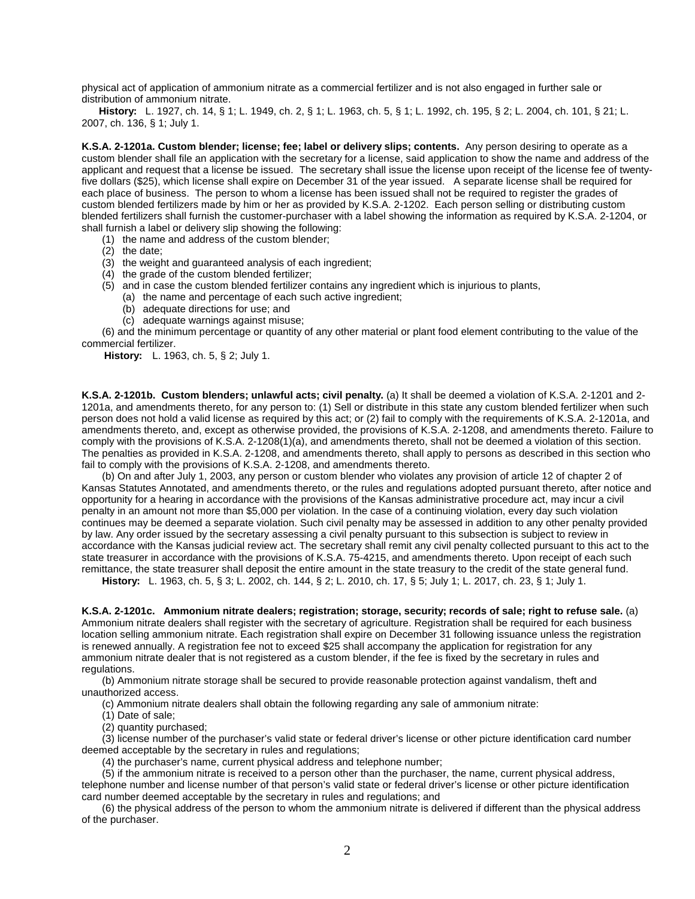physical act of application of ammonium nitrate as a commercial fertilizer and is not also engaged in further sale or distribution of ammonium nitrate.

**History:** L. 1927, ch. 14, § 1; L. 1949, ch. 2, § 1; L. 1963, ch. 5, § 1; L. 1992, ch. 195, § 2; L. 2004, ch. 101, § 21; L. 2007, ch. 136, § 1; July 1.

**K.S.A. 2-1201a. Custom blender; license; fee; label or delivery slips; contents.** Any person desiring to operate as a custom blender shall file an application with the secretary for a license, said application to show the name and address of the applicant and request that a license be issued. The secretary shall issue the license upon receipt of the license fee of twentyfive dollars (\$25), which license shall expire on December 31 of the year issued. A separate license shall be required for each place of business. The person to whom a license has been issued shall not be required to register the grades of custom blended fertilizers made by him or her as provided by K.S.A. 2-1202. Each person selling or distributing custom blended fertilizers shall furnish the customer-purchaser with a label showing the information as required by K.S.A. 2-1204, or shall furnish a label or delivery slip showing the following:

(1) the name and address of the custom blender;

- $(2)$  the date;
- (3) the weight and guaranteed analysis of each ingredient;
- (4) the grade of the custom blended fertilizer;
- (5) and in case the custom blended fertilizer contains any ingredient which is injurious to plants,
	- (a) the name and percentage of each such active ingredient;
	- (b) adequate directions for use; and
	- (c) adequate warnings against misuse;

(6) and the minimum percentage or quantity of any other material or plant food element contributing to the value of the commercial fertilizer.

**History:** L. 1963, ch. 5, § 2; July 1.

**K.S.A. 2-1201b. Custom blenders; unlawful acts; civil penalty.** (a) It shall be deemed a violation of K.S.A. 2-1201 and 2- 1201a, and amendments thereto, for any person to: (1) Sell or distribute in this state any custom blended fertilizer when such person does not hold a valid license as required by this act; or (2) fail to comply with the requirements of K.S.A. 2-1201a, and amendments thereto, and, except as otherwise provided, the provisions of K.S.A. 2-1208, and amendments thereto. Failure to comply with the provisions of K.S.A. 2-1208(1)(a), and amendments thereto, shall not be deemed a violation of this section. The penalties as provided in K.S.A. 2-1208, and amendments thereto, shall apply to persons as described in this section who fail to comply with the provisions of K.S.A. 2-1208, and amendments thereto.

(b) On and after July 1, 2003, any person or custom blender who violates any provision of article 12 of chapter 2 of Kansas Statutes Annotated, and amendments thereto, or the rules and regulations adopted pursuant thereto, after notice and opportunity for a hearing in accordance with the provisions of the Kansas administrative procedure act, may incur a civil penalty in an amount not more than \$5,000 per violation. In the case of a continuing violation, every day such violation continues may be deemed a separate violation. Such civil penalty may be assessed in addition to any other penalty provided by law. Any order issued by the secretary assessing a civil penalty pursuant to this subsection is subject to review in accordance with the Kansas judicial review act. The secretary shall remit any civil penalty collected pursuant to this act to the state treasurer in accordance with the provisions of K.S.A. 75-4215, and amendments thereto. Upon receipt of each such remittance, the state treasurer shall deposit the entire amount in the state treasury to the credit of the state general fund.

**History:** L. 1963, ch. 5, § 3; L. 2002, ch. 144, § 2; L. 2010, ch. 17, § 5; July 1; L. 2017, ch. 23, § 1; July 1.

**K.S.A. 2-1201c. Ammonium nitrate dealers; registration; storage, security; records of sale; right to refuse sale.** (a) Ammonium nitrate dealers shall register with the secretary of agriculture. Registration shall be required for each business location selling ammonium nitrate. Each registration shall expire on December 31 following issuance unless the registration is renewed annually. A registration fee not to exceed \$25 shall accompany the application for registration for any ammonium nitrate dealer that is not registered as a custom blender, if the fee is fixed by the secretary in rules and regulations.

(b) Ammonium nitrate storage shall be secured to provide reasonable protection against vandalism, theft and unauthorized access.

(c) Ammonium nitrate dealers shall obtain the following regarding any sale of ammonium nitrate:

(1) Date of sale;

(2) quantity purchased;

(3) license number of the purchaser's valid state or federal driver's license or other picture identification card number deemed acceptable by the secretary in rules and regulations;

(4) the purchaser's name, current physical address and telephone number;

(5) if the ammonium nitrate is received to a person other than the purchaser, the name, current physical address, telephone number and license number of that person's valid state or federal driver's license or other picture identification card number deemed acceptable by the secretary in rules and regulations; and

(6) the physical address of the person to whom the ammonium nitrate is delivered if different than the physical address of the purchaser.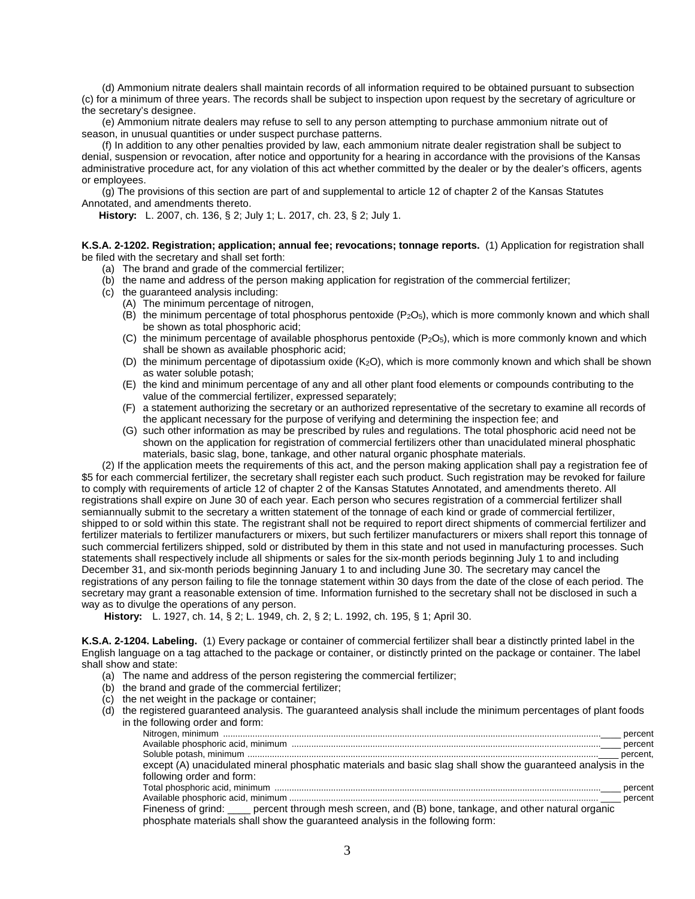(d) Ammonium nitrate dealers shall maintain records of all information required to be obtained pursuant to subsection (c) for a minimum of three years. The records shall be subject to inspection upon request by the secretary of agriculture or the secretary's designee.

(e) Ammonium nitrate dealers may refuse to sell to any person attempting to purchase ammonium nitrate out of season, in unusual quantities or under suspect purchase patterns.

(f) In addition to any other penalties provided by law, each ammonium nitrate dealer registration shall be subject to denial, suspension or revocation, after notice and opportunity for a hearing in accordance with the provisions of the Kansas administrative procedure act, for any violation of this act whether committed by the dealer or by the dealer's officers, agents or employees.

(g) The provisions of this section are part of and supplemental to article 12 of chapter 2 of the Kansas Statutes Annotated, and amendments thereto.

**History:** L. 2007, ch. 136, § 2; July 1; L. 2017, ch. 23, § 2; July 1.

**K.S.A. 2-1202. Registration; application; annual fee; revocations; tonnage reports.** (1) Application for registration shall be filed with the secretary and shall set forth:

- (a) The brand and grade of the commercial fertilizer;
- (b) the name and address of the person making application for registration of the commercial fertilizer;
- (c) the guaranteed analysis including:
	- (A) The minimum percentage of nitrogen,
	- (B) the minimum percentage of total phosphorus pentoxide  $(P_2O_5)$ , which is more commonly known and which shall be shown as total phosphoric acid;
	- (C) the minimum percentage of available phosphorus pentoxide ( $P<sub>2</sub>O<sub>5</sub>$ ), which is more commonly known and which shall be shown as available phosphoric acid;
	- (D) the minimum percentage of dipotassium oxide (K<sub>2</sub>O), which is more commonly known and which shall be shown as water soluble potash;
	- (E) the kind and minimum percentage of any and all other plant food elements or compounds contributing to the value of the commercial fertilizer, expressed separately;
	- (F) a statement authorizing the secretary or an authorized representative of the secretary to examine all records of the applicant necessary for the purpose of verifying and determining the inspection fee; and
	- (G) such other information as may be prescribed by rules and regulations. The total phosphoric acid need not be shown on the application for registration of commercial fertilizers other than unacidulated mineral phosphatic materials, basic slag, bone, tankage, and other natural organic phosphate materials.

(2) If the application meets the requirements of this act, and the person making application shall pay a registration fee of \$5 for each commercial fertilizer, the secretary shall register each such product. Such registration may be revoked for failure to comply with requirements of article 12 of chapter 2 of the Kansas Statutes Annotated, and amendments thereto. All registrations shall expire on June 30 of each year. Each person who secures registration of a commercial fertilizer shall semiannually submit to the secretary a written statement of the tonnage of each kind or grade of commercial fertilizer, shipped to or sold within this state. The registrant shall not be required to report direct shipments of commercial fertilizer and fertilizer materials to fertilizer manufacturers or mixers, but such fertilizer manufacturers or mixers shall report this tonnage of such commercial fertilizers shipped, sold or distributed by them in this state and not used in manufacturing processes. Such statements shall respectively include all shipments or sales for the six-month periods beginning July 1 to and including December 31, and six-month periods beginning January 1 to and including June 30. The secretary may cancel the registrations of any person failing to file the tonnage statement within 30 days from the date of the close of each period. The secretary may grant a reasonable extension of time. Information furnished to the secretary shall not be disclosed in such a way as to divulge the operations of any person.

**History:** L. 1927, ch. 14, § 2; L. 1949, ch. 2, § 2; L. 1992, ch. 195, § 1; April 30.

**K.S.A. 2-1204. Labeling.** (1) Every package or container of commercial fertilizer shall bear a distinctly printed label in the English language on a tag attached to the package or container, or distinctly printed on the package or container. The label shall show and state:

- (a) The name and address of the person registering the commercial fertilizer;
- (b) the brand and grade of the commercial fertilizer;
- (c) the net weight in the package or container;
- (d) the registered guaranteed analysis. The guaranteed analysis shall include the minimum percentages of plant foods in the following order and form:

| except (A) unacidulated mineral phosphatic materials and basic slag shall show the guaranteed analysis in the |  |
|---------------------------------------------------------------------------------------------------------------|--|
| following order and form:                                                                                     |  |
|                                                                                                               |  |
|                                                                                                               |  |
| Fineness of grind: ____ percent through mesh screen, and (B) bone, tankage, and other natural organic         |  |
| phosphate materials shall show the guaranteed analysis in the following form:                                 |  |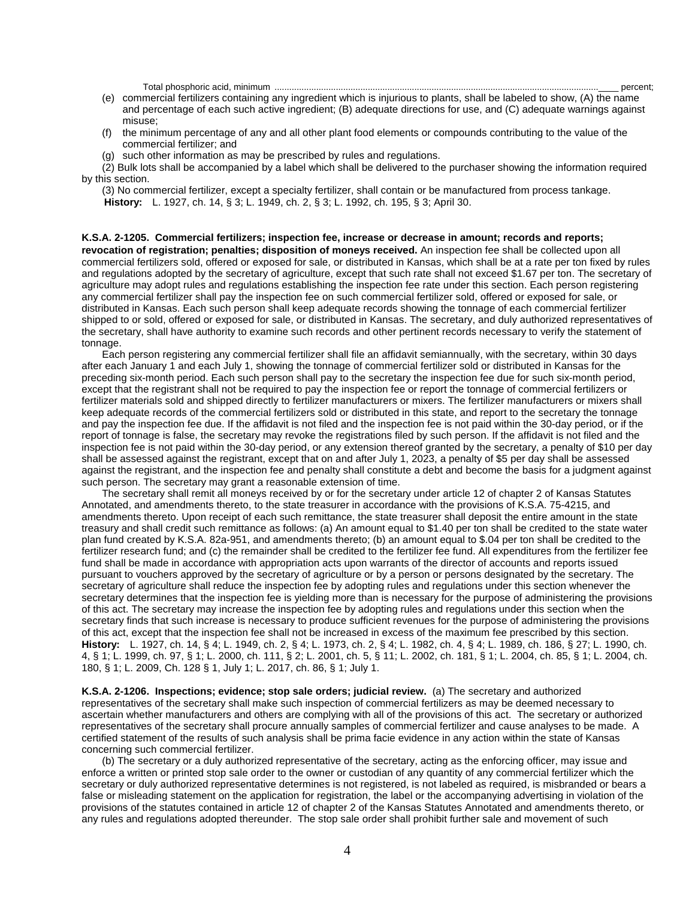Total phosphoric acid, minimum ....................................................................................................................................\_\_\_\_ percent;

- (e) commercial fertilizers containing any ingredient which is injurious to plants, shall be labeled to show, (A) the name and percentage of each such active ingredient; (B) adequate directions for use, and (C) adequate warnings against misuse;
- (f) the minimum percentage of any and all other plant food elements or compounds contributing to the value of the commercial fertilizer; and
- (g) such other information as may be prescribed by rules and regulations.

(2) Bulk lots shall be accompanied by a label which shall be delivered to the purchaser showing the information required by this section.

(3) No commercial fertilizer, except a specialty fertilizer, shall contain or be manufactured from process tankage. **History:** L. 1927, ch. 14, § 3; L. 1949, ch. 2, § 3; L. 1992, ch. 195, § 3; April 30.

**K.S.A. 2-1205. Commercial fertilizers; inspection fee, increase or decrease in amount; records and reports; revocation of registration; penalties; disposition of moneys received.** An inspection fee shall be collected upon all commercial fertilizers sold, offered or exposed for sale, or distributed in Kansas, which shall be at a rate per ton fixed by rules and regulations adopted by the secretary of agriculture, except that such rate shall not exceed \$1.67 per ton. The secretary of agriculture may adopt rules and regulations establishing the inspection fee rate under this section. Each person registering any commercial fertilizer shall pay the inspection fee on such commercial fertilizer sold, offered or exposed for sale, or distributed in Kansas. Each such person shall keep adequate records showing the tonnage of each commercial fertilizer shipped to or sold, offered or exposed for sale, or distributed in Kansas. The secretary, and duly authorized representatives of the secretary, shall have authority to examine such records and other pertinent records necessary to verify the statement of tonnage.

Each person registering any commercial fertilizer shall file an affidavit semiannually, with the secretary, within 30 days after each January 1 and each July 1, showing the tonnage of commercial fertilizer sold or distributed in Kansas for the preceding six-month period. Each such person shall pay to the secretary the inspection fee due for such six-month period, except that the registrant shall not be required to pay the inspection fee or report the tonnage of commercial fertilizers or fertilizer materials sold and shipped directly to fertilizer manufacturers or mixers. The fertilizer manufacturers or mixers shall keep adequate records of the commercial fertilizers sold or distributed in this state, and report to the secretary the tonnage and pay the inspection fee due. If the affidavit is not filed and the inspection fee is not paid within the 30-day period, or if the report of tonnage is false, the secretary may revoke the registrations filed by such person. If the affidavit is not filed and the inspection fee is not paid within the 30-day period, or any extension thereof granted by the secretary, a penalty of \$10 per day shall be assessed against the registrant, except that on and after July 1, 2023, a penalty of \$5 per day shall be assessed against the registrant, and the inspection fee and penalty shall constitute a debt and become the basis for a judgment against such person. The secretary may grant a reasonable extension of time.

The secretary shall remit all moneys received by or for the secretary under article 12 of chapter 2 of Kansas Statutes Annotated, and amendments thereto, to the state treasurer in accordance with the provisions of K.S.A. 75-4215, and amendments thereto. Upon receipt of each such remittance, the state treasurer shall deposit the entire amount in the state treasury and shall credit such remittance as follows: (a) An amount equal to \$1.40 per ton shall be credited to the state water plan fund created by K.S.A. 82a-951, and amendments thereto; (b) an amount equal to \$.04 per ton shall be credited to the fertilizer research fund; and (c) the remainder shall be credited to the fertilizer fee fund. All expenditures from the fertilizer fee fund shall be made in accordance with appropriation acts upon warrants of the director of accounts and reports issued pursuant to vouchers approved by the secretary of agriculture or by a person or persons designated by the secretary. The secretary of agriculture shall reduce the inspection fee by adopting rules and regulations under this section whenever the secretary determines that the inspection fee is yielding more than is necessary for the purpose of administering the provisions of this act. The secretary may increase the inspection fee by adopting rules and regulations under this section when the secretary finds that such increase is necessary to produce sufficient revenues for the purpose of administering the provisions of this act, except that the inspection fee shall not be increased in excess of the maximum fee prescribed by this section. **History:** L. 1927, ch. 14, § 4; L. 1949, ch. 2, § 4; L. 1973, ch. 2, § 4; L. 1982, ch. 4, § 4; L. 1989, ch. 186, § 27; L. 1990, ch. 4, § 1; L. 1999, ch. 97, § 1; L. 2000, ch. 111, § 2; L. 2001, ch. 5, § 11; L. 2002, ch. 181, § 1; L. 2004, ch. 85, § 1; L. 2004, ch. 180, § 1; L. 2009, Ch. 128 § 1, July 1; L. 2017, ch. 86, § 1; July 1.

**K.S.A. 2-1206. Inspections; evidence; stop sale orders; judicial review.** (a) The secretary and authorized representatives of the secretary shall make such inspection of commercial fertilizers as may be deemed necessary to ascertain whether manufacturers and others are complying with all of the provisions of this act. The secretary or authorized representatives of the secretary shall procure annually samples of commercial fertilizer and cause analyses to be made. A certified statement of the results of such analysis shall be prima facie evidence in any action within the state of Kansas concerning such commercial fertilizer.

(b) The secretary or a duly authorized representative of the secretary, acting as the enforcing officer, may issue and enforce a written or printed stop sale order to the owner or custodian of any quantity of any commercial fertilizer which the secretary or duly authorized representative determines is not registered, is not labeled as required, is misbranded or bears a false or misleading statement on the application for registration, the label or the accompanying advertising in violation of the provisions of the statutes contained in article 12 of chapter 2 of the Kansas Statutes Annotated and amendments thereto, or any rules and regulations adopted thereunder. The stop sale order shall prohibit further sale and movement of such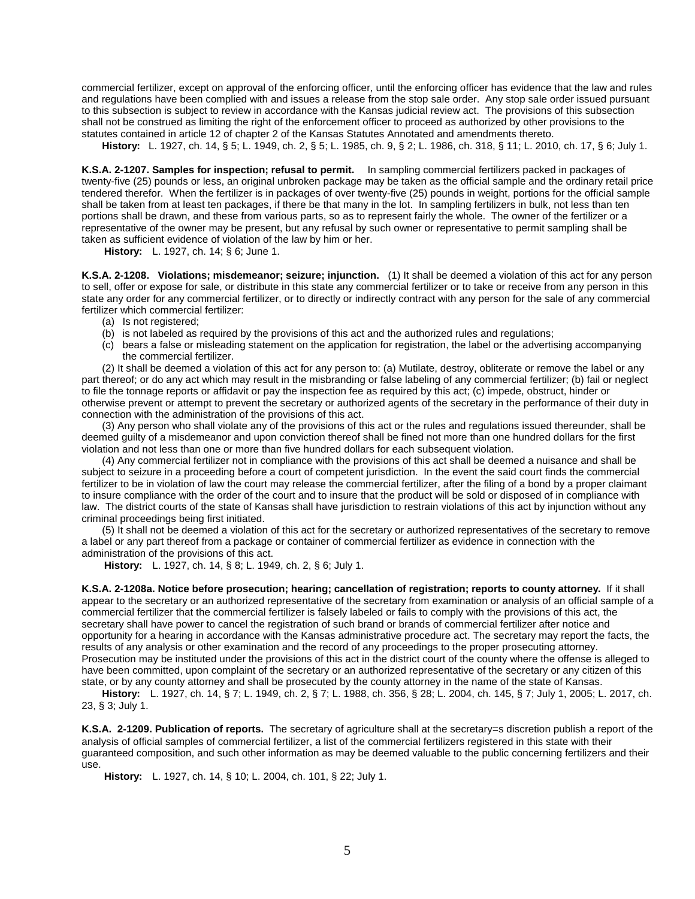commercial fertilizer, except on approval of the enforcing officer, until the enforcing officer has evidence that the law and rules and regulations have been complied with and issues a release from the stop sale order. Any stop sale order issued pursuant to this subsection is subject to review in accordance with the Kansas judicial review act. The provisions of this subsection shall not be construed as limiting the right of the enforcement officer to proceed as authorized by other provisions to the statutes contained in article 12 of chapter 2 of the Kansas Statutes Annotated and amendments thereto.

**History:** L. 1927, ch. 14, § 5; L. 1949, ch. 2, § 5; L. 1985, ch. 9, § 2; L. 1986, ch. 318, § 11; L. 2010, ch. 17, § 6; July 1.

**K.S.A. 2-1207. Samples for inspection; refusal to permit.** In sampling commercial fertilizers packed in packages of twenty-five (25) pounds or less, an original unbroken package may be taken as the official sample and the ordinary retail price tendered therefor. When the fertilizer is in packages of over twenty-five (25) pounds in weight, portions for the official sample shall be taken from at least ten packages, if there be that many in the lot. In sampling fertilizers in bulk, not less than ten portions shall be drawn, and these from various parts, so as to represent fairly the whole. The owner of the fertilizer or a representative of the owner may be present, but any refusal by such owner or representative to permit sampling shall be taken as sufficient evidence of violation of the law by him or her.

**History:** L. 1927, ch. 14; § 6; June 1.

**K.S.A. 2-1208. Violations; misdemeanor; seizure; injunction.** (1) It shall be deemed a violation of this act for any person to sell, offer or expose for sale, or distribute in this state any commercial fertilizer or to take or receive from any person in this state any order for any commercial fertilizer, or to directly or indirectly contract with any person for the sale of any commercial fertilizer which commercial fertilizer:

- (a) Is not registered;
- (b) is not labeled as required by the provisions of this act and the authorized rules and regulations;
- (c) bears a false or misleading statement on the application for registration, the label or the advertising accompanying the commercial fertilizer.

(2) It shall be deemed a violation of this act for any person to: (a) Mutilate, destroy, obliterate or remove the label or any part thereof; or do any act which may result in the misbranding or false labeling of any commercial fertilizer; (b) fail or neglect to file the tonnage reports or affidavit or pay the inspection fee as required by this act; (c) impede, obstruct, hinder or otherwise prevent or attempt to prevent the secretary or authorized agents of the secretary in the performance of their duty in connection with the administration of the provisions of this act.

(3) Any person who shall violate any of the provisions of this act or the rules and regulations issued thereunder, shall be deemed guilty of a misdemeanor and upon conviction thereof shall be fined not more than one hundred dollars for the first violation and not less than one or more than five hundred dollars for each subsequent violation.

(4) Any commercial fertilizer not in compliance with the provisions of this act shall be deemed a nuisance and shall be subject to seizure in a proceeding before a court of competent jurisdiction. In the event the said court finds the commercial fertilizer to be in violation of law the court may release the commercial fertilizer, after the filing of a bond by a proper claimant to insure compliance with the order of the court and to insure that the product will be sold or disposed of in compliance with law. The district courts of the state of Kansas shall have jurisdiction to restrain violations of this act by injunction without any criminal proceedings being first initiated.

(5) It shall not be deemed a violation of this act for the secretary or authorized representatives of the secretary to remove a label or any part thereof from a package or container of commercial fertilizer as evidence in connection with the administration of the provisions of this act.

**History:** L. 1927, ch. 14, § 8; L. 1949, ch. 2, § 6; July 1.

**K.S.A. 2-1208a. Notice before prosecution; hearing; cancellation of registration; reports to county attorney.** If it shall appear to the secretary or an authorized representative of the secretary from examination or analysis of an official sample of a commercial fertilizer that the commercial fertilizer is falsely labeled or fails to comply with the provisions of this act, the secretary shall have power to cancel the registration of such brand or brands of commercial fertilizer after notice and opportunity for a hearing in accordance with the Kansas administrative procedure act. The secretary may report the facts, the results of any analysis or other examination and the record of any proceedings to the proper prosecuting attorney. Prosecution may be instituted under the provisions of this act in the district court of the county where the offense is alleged to have been committed, upon complaint of the secretary or an authorized representative of the secretary or any citizen of this state, or by any county attorney and shall be prosecuted by the county attorney in the name of the state of Kansas.

**History:** L. 1927, ch. 14, § 7; L. 1949, ch. 2, § 7; L. 1988, ch. 356, § 28; L. 2004, ch. 145, § 7; July 1, 2005; L. 2017, ch. 23, § 3; July 1.

**K.S.A. 2-1209. Publication of reports.** The secretary of agriculture shall at the secretary=s discretion publish a report of the analysis of official samples of commercial fertilizer, a list of the commercial fertilizers registered in this state with their guaranteed composition, and such other information as may be deemed valuable to the public concerning fertilizers and their use.

**History:** L. 1927, ch. 14, § 10; L. 2004, ch. 101, § 22; July 1.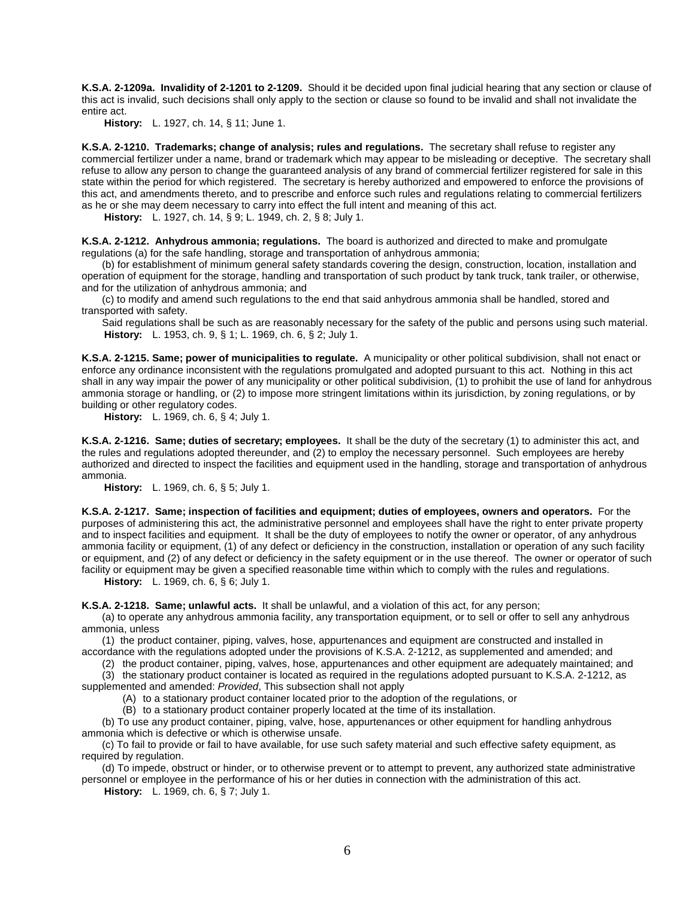**K.S.A. 2-1209a. Invalidity of 2-1201 to 2-1209.** Should it be decided upon final judicial hearing that any section or clause of this act is invalid, such decisions shall only apply to the section or clause so found to be invalid and shall not invalidate the entire act.

**History:** L. 1927, ch. 14, § 11; June 1.

**K.S.A. 2-1210. Trademarks; change of analysis; rules and regulations.** The secretary shall refuse to register any commercial fertilizer under a name, brand or trademark which may appear to be misleading or deceptive. The secretary shall refuse to allow any person to change the guaranteed analysis of any brand of commercial fertilizer registered for sale in this state within the period for which registered. The secretary is hereby authorized and empowered to enforce the provisions of this act, and amendments thereto, and to prescribe and enforce such rules and regulations relating to commercial fertilizers as he or she may deem necessary to carry into effect the full intent and meaning of this act.

**History:** L. 1927, ch. 14, § 9; L. 1949, ch. 2, § 8; July 1.

**K.S.A. 2-1212. Anhydrous ammonia; regulations.** The board is authorized and directed to make and promulgate regulations (a) for the safe handling, storage and transportation of anhydrous ammonia;

(b) for establishment of minimum general safety standards covering the design, construction, location, installation and operation of equipment for the storage, handling and transportation of such product by tank truck, tank trailer, or otherwise, and for the utilization of anhydrous ammonia; and

(c) to modify and amend such regulations to the end that said anhydrous ammonia shall be handled, stored and transported with safety.

Said regulations shall be such as are reasonably necessary for the safety of the public and persons using such material. **History:** L. 1953, ch. 9, § 1; L. 1969, ch. 6, § 2; July 1.

**K.S.A. 2-1215. Same; power of municipalities to regulate.** A municipality or other political subdivision, shall not enact or enforce any ordinance inconsistent with the regulations promulgated and adopted pursuant to this act. Nothing in this act shall in any way impair the power of any municipality or other political subdivision, (1) to prohibit the use of land for anhydrous ammonia storage or handling, or (2) to impose more stringent limitations within its jurisdiction, by zoning regulations, or by building or other regulatory codes.

**History:** L. 1969, ch. 6, § 4; July 1.

**K.S.A. 2-1216. Same; duties of secretary; employees.** It shall be the duty of the secretary (1) to administer this act, and the rules and regulations adopted thereunder, and (2) to employ the necessary personnel. Such employees are hereby authorized and directed to inspect the facilities and equipment used in the handling, storage and transportation of anhydrous ammonia.

**History:** L. 1969, ch. 6, § 5; July 1.

**K.S.A. 2-1217. Same; inspection of facilities and equipment; duties of employees, owners and operators.** For the purposes of administering this act, the administrative personnel and employees shall have the right to enter private property and to inspect facilities and equipment. It shall be the duty of employees to notify the owner or operator, of any anhydrous ammonia facility or equipment, (1) of any defect or deficiency in the construction, installation or operation of any such facility or equipment, and (2) of any defect or deficiency in the safety equipment or in the use thereof. The owner or operator of such facility or equipment may be given a specified reasonable time within which to comply with the rules and regulations.

**History:** L. 1969, ch. 6, § 6; July 1.

**K.S.A. 2-1218. Same; unlawful acts.** It shall be unlawful, and a violation of this act, for any person;

(a) to operate any anhydrous ammonia facility, any transportation equipment, or to sell or offer to sell any anhydrous ammonia, unless

(1) the product container, piping, valves, hose, appurtenances and equipment are constructed and installed in accordance with the regulations adopted under the provisions of K.S.A. 2-1212, as supplemented and amended; and

(2) the product container, piping, valves, hose, appurtenances and other equipment are adequately maintained; and

(3) the stationary product container is located as required in the regulations adopted pursuant to K.S.A. 2-1212, as supplemented and amended: *Provided*, This subsection shall not apply

(A) to a stationary product container located prior to the adoption of the regulations, or

(B) to a stationary product container properly located at the time of its installation.

(b) To use any product container, piping, valve, hose, appurtenances or other equipment for handling anhydrous ammonia which is defective or which is otherwise unsafe.

(c) To fail to provide or fail to have available, for use such safety material and such effective safety equipment, as required by regulation.

(d) To impede, obstruct or hinder, or to otherwise prevent or to attempt to prevent, any authorized state administrative personnel or employee in the performance of his or her duties in connection with the administration of this act.

**History:** L. 1969, ch. 6, § 7; July 1.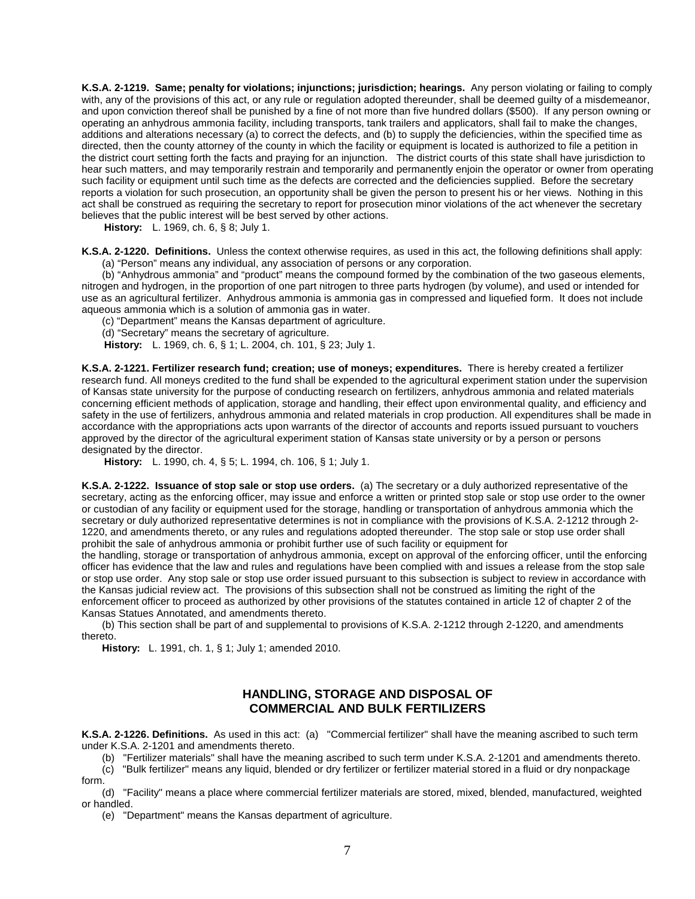**K.S.A. 2-1219. Same; penalty for violations; injunctions; jurisdiction; hearings.** Any person violating or failing to comply with, any of the provisions of this act, or any rule or regulation adopted thereunder, shall be deemed guilty of a misdemeanor, and upon conviction thereof shall be punished by a fine of not more than five hundred dollars (\$500). If any person owning or operating an anhydrous ammonia facility, including transports, tank trailers and applicators, shall fail to make the changes, additions and alterations necessary (a) to correct the defects, and (b) to supply the deficiencies, within the specified time as directed, then the county attorney of the county in which the facility or equipment is located is authorized to file a petition in the district court setting forth the facts and praying for an injunction. The district courts of this state shall have jurisdiction to hear such matters, and may temporarily restrain and temporarily and permanently enjoin the operator or owner from operating such facility or equipment until such time as the defects are corrected and the deficiencies supplied. Before the secretary reports a violation for such prosecution, an opportunity shall be given the person to present his or her views. Nothing in this act shall be construed as requiring the secretary to report for prosecution minor violations of the act whenever the secretary believes that the public interest will be best served by other actions.

**History:** L. 1969, ch. 6, § 8; July 1.

**K.S.A. 2-1220. Definitions.** Unless the context otherwise requires, as used in this act, the following definitions shall apply: (a) "Person" means any individual, any association of persons or any corporation.

(b) "Anhydrous ammonia" and "product" means the compound formed by the combination of the two gaseous elements, nitrogen and hydrogen, in the proportion of one part nitrogen to three parts hydrogen (by volume), and used or intended for use as an agricultural fertilizer. Anhydrous ammonia is ammonia gas in compressed and liquefied form. It does not include aqueous ammonia which is a solution of ammonia gas in water.

(c) "Department" means the Kansas department of agriculture.

(d) "Secretary" means the secretary of agriculture.

**History:** L. 1969, ch. 6, § 1; L. 2004, ch. 101, § 23; July 1.

**K.S.A. 2-1221. Fertilizer research fund; creation; use of moneys; expenditures.** There is hereby created a fertilizer research fund. All moneys credited to the fund shall be expended to the agricultural experiment station under the supervision of Kansas state university for the purpose of conducting research on fertilizers, anhydrous ammonia and related materials concerning efficient methods of application, storage and handling, their effect upon environmental quality, and efficiency and safety in the use of fertilizers, anhydrous ammonia and related materials in crop production. All expenditures shall be made in accordance with the appropriations acts upon warrants of the director of accounts and reports issued pursuant to vouchers approved by the director of the agricultural experiment station of Kansas state university or by a person or persons designated by the director.

**History:** L. 1990, ch. 4, § 5; L. 1994, ch. 106, § 1; July 1.

**K.S.A. 2-1222. Issuance of stop sale or stop use orders.** (a) The secretary or a duly authorized representative of the secretary, acting as the enforcing officer, may issue and enforce a written or printed stop sale or stop use order to the owner or custodian of any facility or equipment used for the storage, handling or transportation of anhydrous ammonia which the secretary or duly authorized representative determines is not in compliance with the provisions of K.S.A. 2-1212 through 2- 1220, and amendments thereto, or any rules and regulations adopted thereunder. The stop sale or stop use order shall prohibit the sale of anhydrous ammonia or prohibit further use of such facility or equipment for

the handling, storage or transportation of anhydrous ammonia, except on approval of the enforcing officer, until the enforcing officer has evidence that the law and rules and regulations have been complied with and issues a release from the stop sale or stop use order. Any stop sale or stop use order issued pursuant to this subsection is subject to review in accordance with the Kansas judicial review act. The provisions of this subsection shall not be construed as limiting the right of the enforcement officer to proceed as authorized by other provisions of the statutes contained in article 12 of chapter 2 of the Kansas Statues Annotated, and amendments thereto.

(b) This section shall be part of and supplemental to provisions of K.S.A. 2-1212 through 2-1220, and amendments thereto.

**History:** L. 1991, ch. 1, § 1; July 1; amended 2010.

## **HANDLING, STORAGE AND DISPOSAL OF COMMERCIAL AND BULK FERTILIZERS**

**K.S.A. 2-1226. Definitions.** As used in this act: (a) "Commercial fertilizer" shall have the meaning ascribed to such term under K.S.A. 2-1201 and amendments thereto.

(b) "Fertilizer materials" shall have the meaning ascribed to such term under K.S.A. 2-1201 and amendments thereto.

(c) "Bulk fertilizer" means any liquid, blended or dry fertilizer or fertilizer material stored in a fluid or dry nonpackage form.

(d) "Facility" means a place where commercial fertilizer materials are stored, mixed, blended, manufactured, weighted or handled.

(e) "Department" means the Kansas department of agriculture.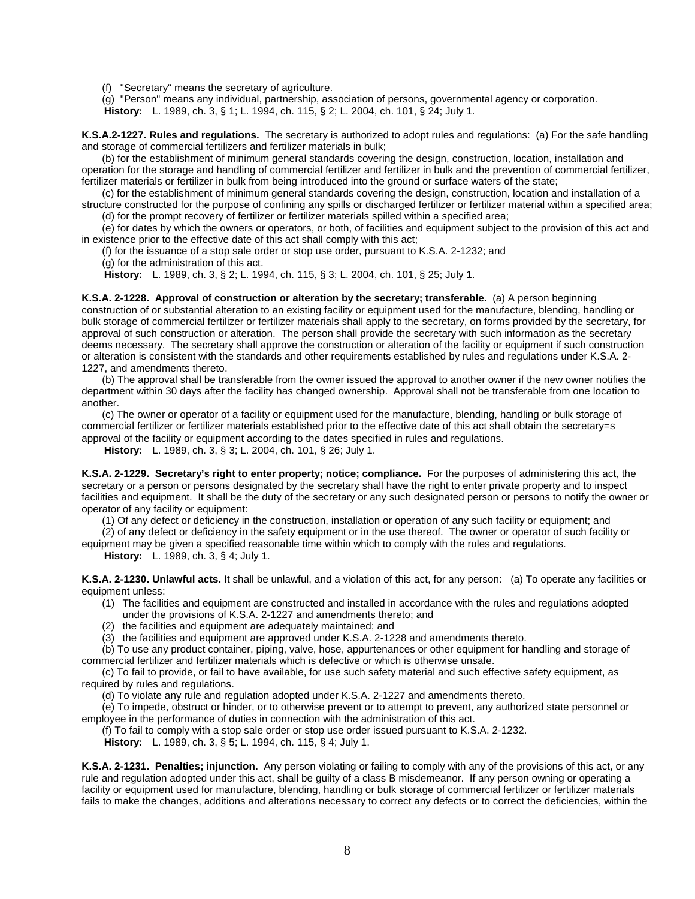(f) "Secretary" means the secretary of agriculture.

(g) "Person" means any individual, partnership, association of persons, governmental agency or corporation. **History:** L. 1989, ch. 3, § 1; L. 1994, ch. 115, § 2; L. 2004, ch. 101, § 24; July 1.

**K.S.A.2-1227. Rules and regulations.** The secretary is authorized to adopt rules and regulations: (a) For the safe handling and storage of commercial fertilizers and fertilizer materials in bulk;

(b) for the establishment of minimum general standards covering the design, construction, location, installation and operation for the storage and handling of commercial fertilizer and fertilizer in bulk and the prevention of commercial fertilizer, fertilizer materials or fertilizer in bulk from being introduced into the ground or surface waters of the state;

(c) for the establishment of minimum general standards covering the design, construction, location and installation of a structure constructed for the purpose of confining any spills or discharged fertilizer or fertilizer material within a specified area; (d) for the prompt recovery of fertilizer or fertilizer materials spilled within a specified area;

(e) for dates by which the owners or operators, or both, of facilities and equipment subject to the provision of this act and in existence prior to the effective date of this act shall comply with this act;

(f) for the issuance of a stop sale order or stop use order, pursuant to K.S.A. 2-1232; and

(g) for the administration of this act.

**History:** L. 1989, ch. 3, § 2; L. 1994, ch. 115, § 3; L. 2004, ch. 101, § 25; July 1.

**K.S.A. 2-1228. Approval of construction or alteration by the secretary; transferable.** (a) A person beginning construction of or substantial alteration to an existing facility or equipment used for the manufacture, blending, handling or bulk storage of commercial fertilizer or fertilizer materials shall apply to the secretary, on forms provided by the secretary, for approval of such construction or alteration. The person shall provide the secretary with such information as the secretary deems necessary. The secretary shall approve the construction or alteration of the facility or equipment if such construction or alteration is consistent with the standards and other requirements established by rules and regulations under K.S.A. 2- 1227, and amendments thereto.

(b) The approval shall be transferable from the owner issued the approval to another owner if the new owner notifies the department within 30 days after the facility has changed ownership. Approval shall not be transferable from one location to another.

(c) The owner or operator of a facility or equipment used for the manufacture, blending, handling or bulk storage of commercial fertilizer or fertilizer materials established prior to the effective date of this act shall obtain the secretary=s approval of the facility or equipment according to the dates specified in rules and regulations.

**History:** L. 1989, ch. 3, § 3; L. 2004, ch. 101, § 26; July 1.

**K.S.A. 2-1229. Secretary's right to enter property; notice; compliance.** For the purposes of administering this act, the secretary or a person or persons designated by the secretary shall have the right to enter private property and to inspect facilities and equipment. It shall be the duty of the secretary or any such designated person or persons to notify the owner or operator of any facility or equipment:

(1) Of any defect or deficiency in the construction, installation or operation of any such facility or equipment; and

(2) of any defect or deficiency in the safety equipment or in the use thereof. The owner or operator of such facility or equipment may be given a specified reasonable time within which to comply with the rules and regulations.

**History:** L. 1989, ch. 3, § 4; July 1.

**K.S.A. 2-1230. Unlawful acts.** It shall be unlawful, and a violation of this act, for any person: (a) To operate any facilities or equipment unless:

- (1) The facilities and equipment are constructed and installed in accordance with the rules and regulations adopted under the provisions of K.S.A. 2-1227 and amendments thereto; and
- (2) the facilities and equipment are adequately maintained; and

(3) the facilities and equipment are approved under K.S.A. 2-1228 and amendments thereto.

(b) To use any product container, piping, valve, hose, appurtenances or other equipment for handling and storage of commercial fertilizer and fertilizer materials which is defective or which is otherwise unsafe.

(c) To fail to provide, or fail to have available, for use such safety material and such effective safety equipment, as required by rules and regulations.

(d) To violate any rule and regulation adopted under K.S.A. 2-1227 and amendments thereto.

(e) To impede, obstruct or hinder, or to otherwise prevent or to attempt to prevent, any authorized state personnel or employee in the performance of duties in connection with the administration of this act.

(f) To fail to comply with a stop sale order or stop use order issued pursuant to K.S.A. 2-1232.

**History:** L. 1989, ch. 3, § 5; L. 1994, ch. 115, § 4; July 1.

**K.S.A. 2-1231. Penalties; injunction.** Any person violating or failing to comply with any of the provisions of this act, or any rule and regulation adopted under this act, shall be guilty of a class B misdemeanor. If any person owning or operating a facility or equipment used for manufacture, blending, handling or bulk storage of commercial fertilizer or fertilizer materials fails to make the changes, additions and alterations necessary to correct any defects or to correct the deficiencies, within the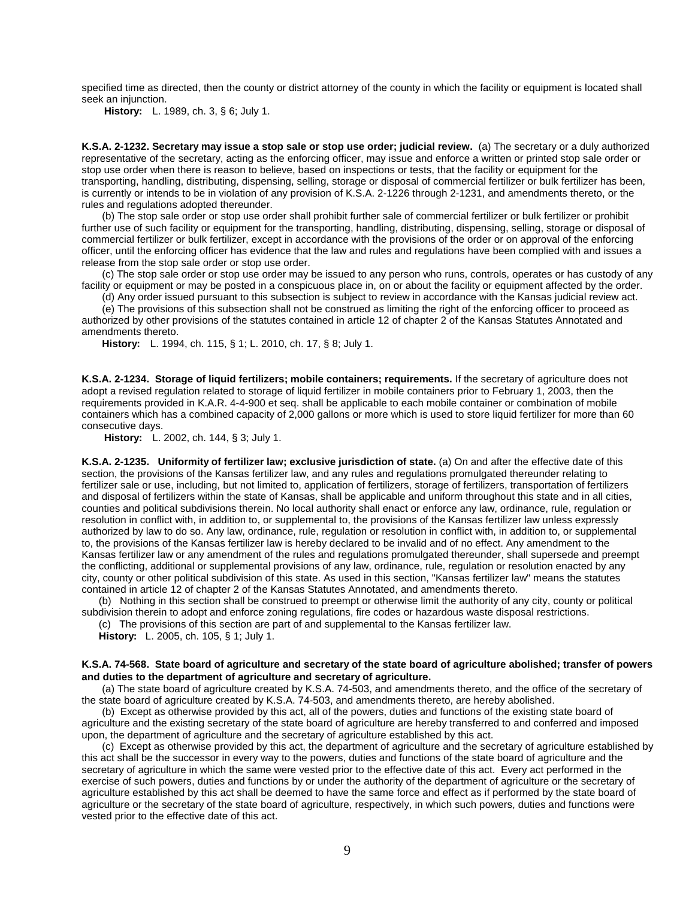specified time as directed, then the county or district attorney of the county in which the facility or equipment is located shall seek an injunction.

**History:** L. 1989, ch. 3, § 6; July 1.

**K.S.A. 2-1232. Secretary may issue a stop sale or stop use order; judicial review.** (a) The secretary or a duly authorized representative of the secretary, acting as the enforcing officer, may issue and enforce a written or printed stop sale order or stop use order when there is reason to believe, based on inspections or tests, that the facility or equipment for the transporting, handling, distributing, dispensing, selling, storage or disposal of commercial fertilizer or bulk fertilizer has been, is currently or intends to be in violation of any provision of K.S.A. 2-1226 through 2-1231, and amendments thereto, or the rules and regulations adopted thereunder.

(b) The stop sale order or stop use order shall prohibit further sale of commercial fertilizer or bulk fertilizer or prohibit further use of such facility or equipment for the transporting, handling, distributing, dispensing, selling, storage or disposal of commercial fertilizer or bulk fertilizer, except in accordance with the provisions of the order or on approval of the enforcing officer, until the enforcing officer has evidence that the law and rules and regulations have been complied with and issues a release from the stop sale order or stop use order.

(c) The stop sale order or stop use order may be issued to any person who runs, controls, operates or has custody of any facility or equipment or may be posted in a conspicuous place in, on or about the facility or equipment affected by the order.

(d) Any order issued pursuant to this subsection is subject to review in accordance with the Kansas judicial review act.

(e) The provisions of this subsection shall not be construed as limiting the right of the enforcing officer to proceed as authorized by other provisions of the statutes contained in article 12 of chapter 2 of the Kansas Statutes Annotated and amendments thereto.

**History:** L. 1994, ch. 115, § 1; L. 2010, ch. 17, § 8; July 1.

**K.S.A. 2-1234. Storage of liquid fertilizers; mobile containers; requirements.** If the secretary of agriculture does not adopt a revised regulation related to storage of liquid fertilizer in mobile containers prior to February 1, 2003, then the requirements provided in K.A.R. 4-4-900 et seq. shall be applicable to each mobile container or combination of mobile containers which has a combined capacity of 2,000 gallons or more which is used to store liquid fertilizer for more than 60 consecutive days.

**History:** L. 2002, ch. 144, § 3; July 1.

**K.S.A. 2-1235. Uniformity of fertilizer law; exclusive jurisdiction of state.** (a) On and after the effective date of this section, the provisions of the Kansas fertilizer law, and any rules and regulations promulgated thereunder relating to fertilizer sale or use, including, but not limited to, application of fertilizers, storage of fertilizers, transportation of fertilizers and disposal of fertilizers within the state of Kansas, shall be applicable and uniform throughout this state and in all cities, counties and political subdivisions therein. No local authority shall enact or enforce any law, ordinance, rule, regulation or resolution in conflict with, in addition to, or supplemental to, the provisions of the Kansas fertilizer law unless expressly authorized by law to do so. Any law, ordinance, rule, regulation or resolution in conflict with, in addition to, or supplemental to, the provisions of the Kansas fertilizer law is hereby declared to be invalid and of no effect. Any amendment to the Kansas fertilizer law or any amendment of the rules and regulations promulgated thereunder, shall supersede and preempt the conflicting, additional or supplemental provisions of any law, ordinance, rule, regulation or resolution enacted by any city, county or other political subdivision of this state. As used in this section, "Kansas fertilizer law" means the statutes contained in article 12 of chapter 2 of the Kansas Statutes Annotated, and amendments thereto.

(b) Nothing in this section shall be construed to preempt or otherwise limit the authority of any city, county or political subdivision therein to adopt and enforce zoning regulations, fire codes or hazardous waste disposal restrictions.

(c) The provisions of this section are part of and supplemental to the Kansas fertilizer law.

**History:** L. 2005, ch. 105, § 1; July 1.

### **K.S.A. 74-568. State board of agriculture and secretary of the state board of agriculture abolished; transfer of powers and duties to the department of agriculture and secretary of agriculture.**

(a) The state board of agriculture created by K.S.A. 74-503, and amendments thereto, and the office of the secretary of the state board of agriculture created by K.S.A. 74-503, and amendments thereto, are hereby abolished.

(b) Except as otherwise provided by this act, all of the powers, duties and functions of the existing state board of agriculture and the existing secretary of the state board of agriculture are hereby transferred to and conferred and imposed upon, the department of agriculture and the secretary of agriculture established by this act.

(c) Except as otherwise provided by this act, the department of agriculture and the secretary of agriculture established by this act shall be the successor in every way to the powers, duties and functions of the state board of agriculture and the secretary of agriculture in which the same were vested prior to the effective date of this act. Every act performed in the exercise of such powers, duties and functions by or under the authority of the department of agriculture or the secretary of agriculture established by this act shall be deemed to have the same force and effect as if performed by the state board of agriculture or the secretary of the state board of agriculture, respectively, in which such powers, duties and functions were vested prior to the effective date of this act.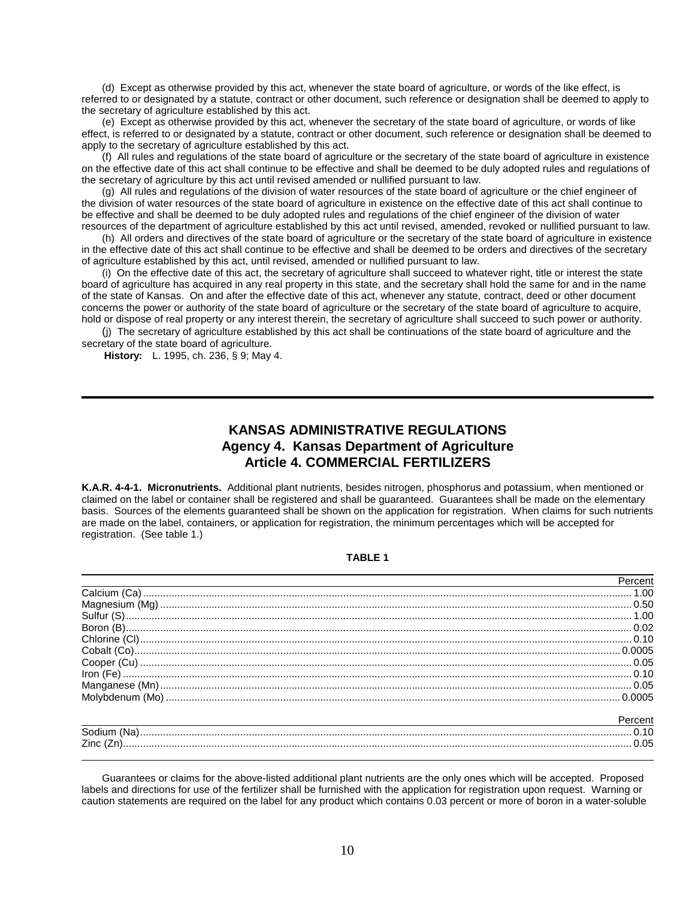(d) Except as otherwise provided by this act, whenever the state board of agriculture, or words of the like effect, is referred to or designated by a statute, contract or other document, such reference or designation shall be deemed to apply to the secretary of agriculture established by this act.

(e) Except as otherwise provided by this act, whenever the secretary of the state board of agriculture, or words of like effect, is referred to or designated by a statute, contract or other document, such reference or designation shall be deemed to apply to the secretary of agriculture established by this act.

(f) All rules and regulations of the state board of agriculture or the secretary of the state board of agriculture in existence on the effective date of this act shall continue to be effective and shall be deemed to be duly adopted rules and regulations of the secretary of agriculture by this act until revised amended or nullified pursuant to law.

(g) All rules and regulations of the division of water resources of the state board of agriculture or the chief engineer of the division of water resources of the state board of agriculture in existence on the effective date of this act shall continue to be effective and shall be deemed to be duly adopted rules and regulations of the chief engineer of the division of water resources of the department of agriculture established by this act until revised, amended, revoked or nullified pursuant to law.

(h) All orders and directives of the state board of agriculture or the secretary of the state board of agriculture in existence in the effective date of this act shall continue to be effective and shall be deemed to be orders and directives of the secretary of agriculture established by this act, until revised, amended or nullified pursuant to law.

(i) On the effective date of this act, the secretary of agriculture shall succeed to whatever right, title or interest the state board of agriculture has acquired in any real property in this state, and the secretary shall hold the same for and in the name of the state of Kansas. On and after the effective date of this act, whenever any statute, contract, deed or other document concerns the power or authority of the state board of agriculture or the secretary of the state board of agriculture to acquire, hold or dispose of real property or any interest therein, the secretary of agriculture shall succeed to such power or authority.

(j) The secretary of agriculture established by this act shall be continuations of the state board of agriculture and the secretary of the state board of agriculture.

**History:** L. 1995, ch. 236, § 9; May 4.

# **KANSAS ADMINISTRATIVE REGULATIONS Agency 4. Kansas Department of Agriculture Article 4. COMMERCIAL FERTILIZERS**

**K.A.R. 4-4-1. Micronutrients.** Additional plant nutrients, besides nitrogen, phosphorus and potassium, when mentioned or claimed on the label or container shall be registered and shall be guaranteed. Guarantees shall be made on the elementary basis. Sources of the elements guaranteed shall be shown on the application for registration. When claims for such nutrients are made on the label, containers, or application for registration, the minimum percentages which will be accepted for registration. (See table 1.)

### **TABLE 1**

| Percent |
|---------|
|         |
|         |
|         |
|         |
|         |
|         |
|         |
|         |
|         |
|         |
| Percent |
|         |
| . 0.05  |

Guarantees or claims for the above-listed additional plant nutrients are the only ones which will be accepted. Proposed labels and directions for use of the fertilizer shall be furnished with the application for registration upon request. Warning or caution statements are required on the label for any product which contains 0.03 percent or more of boron in a water-soluble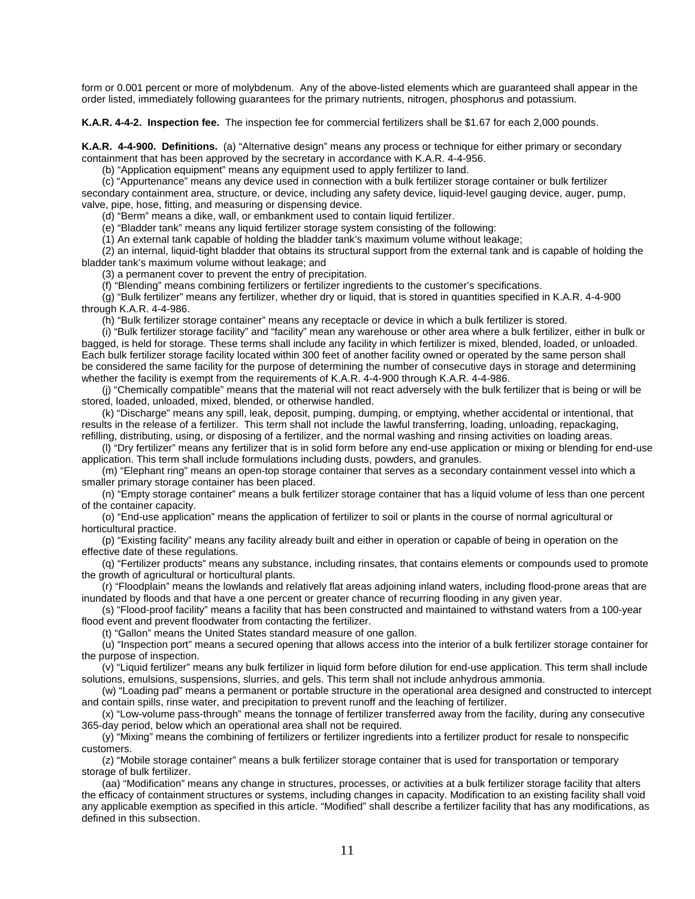form or 0.001 percent or more of molybdenum. Any of the above-listed elements which are guaranteed shall appear in the order listed, immediately following guarantees for the primary nutrients, nitrogen, phosphorus and potassium.

**K.A.R. 4-4-2. Inspection fee.** The inspection fee for commercial fertilizers shall be \$1.67 for each 2,000 pounds.

**K.A.R. 4-4-900. Definitions.** (a) "Alternative design" means any process or technique for either primary or secondary containment that has been approved by the secretary in accordance with K.A.R. 4-4-956.

(b) "Application equipment" means any equipment used to apply fertilizer to land.

(c) "Appurtenance" means any device used in connection with a bulk fertilizer storage container or bulk fertilizer secondary containment area, structure, or device, including any safety device, liquid-level gauging device, auger, pump, valve, pipe, hose, fitting, and measuring or dispensing device.

(d) "Berm" means a dike, wall, or embankment used to contain liquid fertilizer.

(e) "Bladder tank" means any liquid fertilizer storage system consisting of the following:

(1) An external tank capable of holding the bladder tank's maximum volume without leakage;

(2) an internal, liquid-tight bladder that obtains its structural support from the external tank and is capable of holding the bladder tank's maximum volume without leakage; and

(3) a permanent cover to prevent the entry of precipitation.

(f) "Blending" means combining fertilizers or fertilizer ingredients to the customer's specifications.

(g) "Bulk fertilizer" means any fertilizer, whether dry or liquid, that is stored in quantities specified in K.A.R. 4-4-900 through K.A.R. 4-4-986.

(h) "Bulk fertilizer storage container" means any receptacle or device in which a bulk fertilizer is stored.

(i) "Bulk fertilizer storage facility" and "facility" mean any warehouse or other area where a bulk fertilizer, either in bulk or bagged, is held for storage. These terms shall include any facility in which fertilizer is mixed, blended, loaded, or unloaded. Each bulk fertilizer storage facility located within 300 feet of another facility owned or operated by the same person shall be considered the same facility for the purpose of determining the number of consecutive days in storage and determining whether the facility is exempt from the requirements of K.A.R. 4-4-900 through K.A.R. 4-4-986.

(j) "Chemically compatible" means that the material will not react adversely with the bulk fertilizer that is being or will be stored, loaded, unloaded, mixed, blended, or otherwise handled.

(k) "Discharge" means any spill, leak, deposit, pumping, dumping, or emptying, whether accidental or intentional, that results in the release of a fertilizer. This term shall not include the lawful transferring, loading, unloading, repackaging, refilling, distributing, using, or disposing of a fertilizer, and the normal washing and rinsing activities on loading areas.

(l) "Dry fertilizer" means any fertilizer that is in solid form before any end-use application or mixing or blending for end-use application. This term shall include formulations including dusts, powders, and granules.

(m) "Elephant ring" means an open-top storage container that serves as a secondary containment vessel into which a smaller primary storage container has been placed.

(n) "Empty storage container" means a bulk fertilizer storage container that has a liquid volume of less than one percent of the container capacity.

(o) "End-use application" means the application of fertilizer to soil or plants in the course of normal agricultural or horticultural practice.

(p) "Existing facility" means any facility already built and either in operation or capable of being in operation on the effective date of these regulations.

(q) "Fertilizer products" means any substance, including rinsates, that contains elements or compounds used to promote the growth of agricultural or horticultural plants.

(r) "Floodplain" means the lowlands and relatively flat areas adjoining inland waters, including flood-prone areas that are inundated by floods and that have a one percent or greater chance of recurring flooding in any given year.

(s) "Flood-proof facility" means a facility that has been constructed and maintained to withstand waters from a 100-year flood event and prevent floodwater from contacting the fertilizer.

(t) "Gallon" means the United States standard measure of one gallon.

(u) "Inspection port" means a secured opening that allows access into the interior of a bulk fertilizer storage container for the purpose of inspection.

(v) "Liquid fertilizer" means any bulk fertilizer in liquid form before dilution for end-use application. This term shall include solutions, emulsions, suspensions, slurries, and gels. This term shall not include anhydrous ammonia.

(w) "Loading pad" means a permanent or portable structure in the operational area designed and constructed to intercept and contain spills, rinse water, and precipitation to prevent runoff and the leaching of fertilizer.

(x) "Low-volume pass-through" means the tonnage of fertilizer transferred away from the facility, during any consecutive 365-day period, below which an operational area shall not be required.

(y) "Mixing" means the combining of fertilizers or fertilizer ingredients into a fertilizer product for resale to nonspecific customers.

(z) "Mobile storage container" means a bulk fertilizer storage container that is used for transportation or temporary storage of bulk fertilizer.

(aa) "Modification" means any change in structures, processes, or activities at a bulk fertilizer storage facility that alters the efficacy of containment structures or systems, including changes in capacity. Modification to an existing facility shall void any applicable exemption as specified in this article. "Modified" shall describe a fertilizer facility that has any modifications, as defined in this subsection.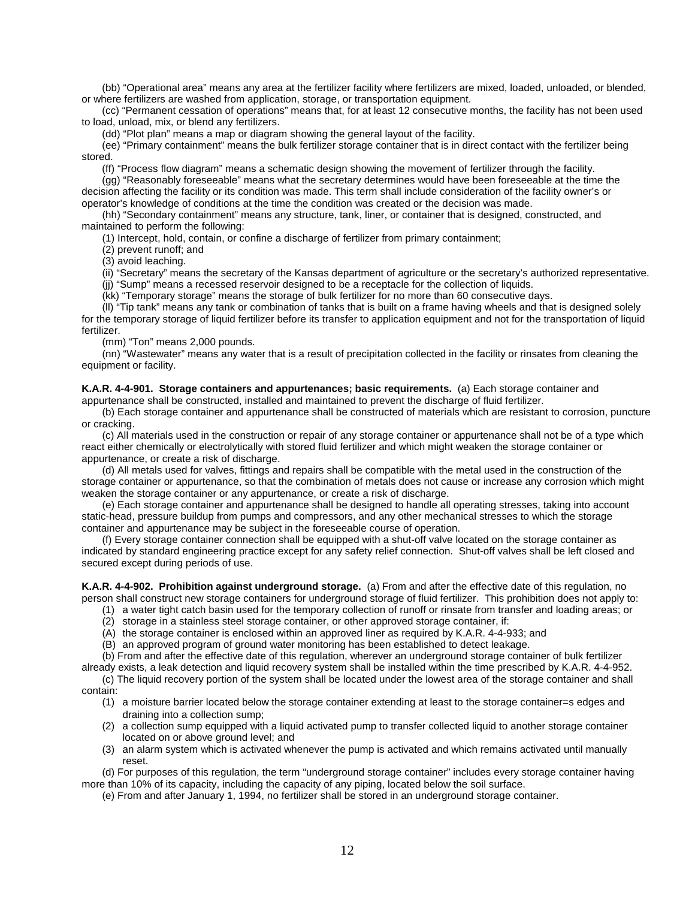(bb) "Operational area" means any area at the fertilizer facility where fertilizers are mixed, loaded, unloaded, or blended, or where fertilizers are washed from application, storage, or transportation equipment.

(cc) "Permanent cessation of operations" means that, for at least 12 consecutive months, the facility has not been used to load, unload, mix, or blend any fertilizers.

(dd) "Plot plan" means a map or diagram showing the general layout of the facility.

(ee) "Primary containment" means the bulk fertilizer storage container that is in direct contact with the fertilizer being stored.

(ff) "Process flow diagram" means a schematic design showing the movement of fertilizer through the facility.

(gg) "Reasonably foreseeable" means what the secretary determines would have been foreseeable at the time the decision affecting the facility or its condition was made. This term shall include consideration of the facility owner's or operator's knowledge of conditions at the time the condition was created or the decision was made.

(hh) "Secondary containment" means any structure, tank, liner, or container that is designed, constructed, and maintained to perform the following:

(1) Intercept, hold, contain, or confine a discharge of fertilizer from primary containment;

(2) prevent runoff; and

(3) avoid leaching.

(ii) "Secretary" means the secretary of the Kansas department of agriculture or the secretary's authorized representative.

(jj) "Sump" means a recessed reservoir designed to be a receptacle for the collection of liquids.

(kk) "Temporary storage" means the storage of bulk fertilizer for no more than 60 consecutive days.

(ll) "Tip tank" means any tank or combination of tanks that is built on a frame having wheels and that is designed solely for the temporary storage of liquid fertilizer before its transfer to application equipment and not for the transportation of liquid fertilizer.

(mm) "Ton" means 2,000 pounds.

(nn) "Wastewater" means any water that is a result of precipitation collected in the facility or rinsates from cleaning the equipment or facility.

**K.A.R. 4-4-901. Storage containers and appurtenances; basic requirements.** (a) Each storage container and appurtenance shall be constructed, installed and maintained to prevent the discharge of fluid fertilizer.

(b) Each storage container and appurtenance shall be constructed of materials which are resistant to corrosion, puncture or cracking.

(c) All materials used in the construction or repair of any storage container or appurtenance shall not be of a type which react either chemically or electrolytically with stored fluid fertilizer and which might weaken the storage container or appurtenance, or create a risk of discharge.

(d) All metals used for valves, fittings and repairs shall be compatible with the metal used in the construction of the storage container or appurtenance, so that the combination of metals does not cause or increase any corrosion which might weaken the storage container or any appurtenance, or create a risk of discharge.

(e) Each storage container and appurtenance shall be designed to handle all operating stresses, taking into account static-head, pressure buildup from pumps and compressors, and any other mechanical stresses to which the storage container and appurtenance may be subject in the foreseeable course of operation.

(f) Every storage container connection shall be equipped with a shut-off valve located on the storage container as indicated by standard engineering practice except for any safety relief connection. Shut-off valves shall be left closed and secured except during periods of use.

**K.A.R. 4-4-902. Prohibition against underground storage.** (a) From and after the effective date of this regulation, no person shall construct new storage containers for underground storage of fluid fertilizer. This prohibition does not apply to:

(1) a water tight catch basin used for the temporary collection of runoff or rinsate from transfer and loading areas; or

(2) storage in a stainless steel storage container, or other approved storage container, if:

- (A) the storage container is enclosed within an approved liner as required by K.A.R. 4-4-933; and
- (B) an approved program of ground water monitoring has been established to detect leakage.

(b) From and after the effective date of this regulation, wherever an underground storage container of bulk fertilizer already exists, a leak detection and liquid recovery system shall be installed within the time prescribed by K.A.R. 4-4-952.

(c) The liquid recovery portion of the system shall be located under the lowest area of the storage container and shall contain:

- (1) a moisture barrier located below the storage container extending at least to the storage container=s edges and draining into a collection sump;
- (2) a collection sump equipped with a liquid activated pump to transfer collected liquid to another storage container located on or above ground level; and
- (3) an alarm system which is activated whenever the pump is activated and which remains activated until manually reset.

(d) For purposes of this regulation, the term "underground storage container" includes every storage container having more than 10% of its capacity, including the capacity of any piping, located below the soil surface.

(e) From and after January 1, 1994, no fertilizer shall be stored in an underground storage container.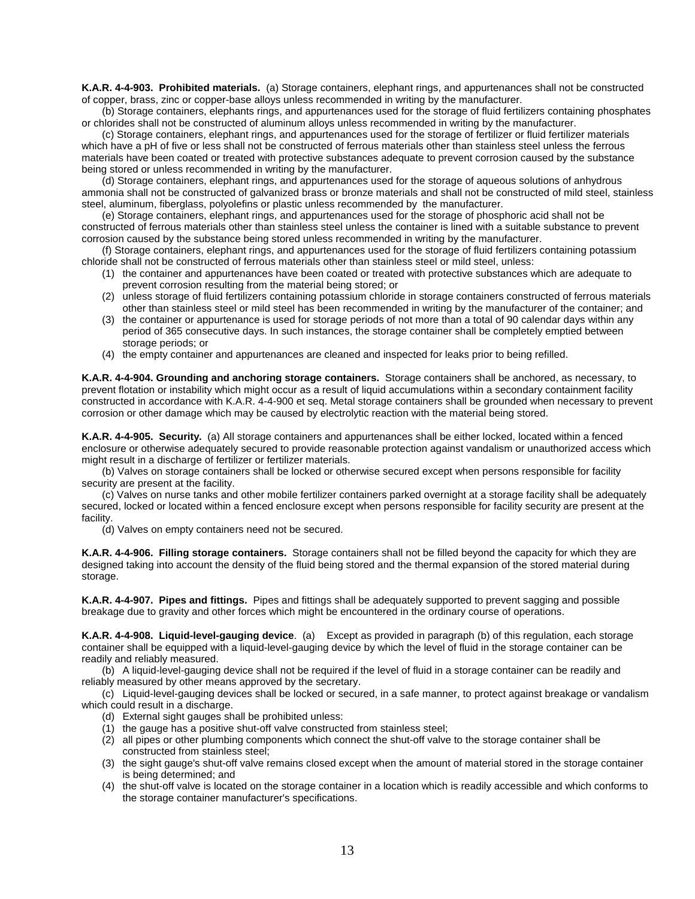**K.A.R. 4-4-903. Prohibited materials.** (a) Storage containers, elephant rings, and appurtenances shall not be constructed of copper, brass, zinc or copper-base alloys unless recommended in writing by the manufacturer.

(b) Storage containers, elephants rings, and appurtenances used for the storage of fluid fertilizers containing phosphates or chlorides shall not be constructed of aluminum alloys unless recommended in writing by the manufacturer.

(c) Storage containers, elephant rings, and appurtenances used for the storage of fertilizer or fluid fertilizer materials which have a pH of five or less shall not be constructed of ferrous materials other than stainless steel unless the ferrous materials have been coated or treated with protective substances adequate to prevent corrosion caused by the substance being stored or unless recommended in writing by the manufacturer.

(d) Storage containers, elephant rings, and appurtenances used for the storage of aqueous solutions of anhydrous ammonia shall not be constructed of galvanized brass or bronze materials and shall not be constructed of mild steel, stainless steel, aluminum, fiberglass, polyolefins or plastic unless recommended by the manufacturer.

(e) Storage containers, elephant rings, and appurtenances used for the storage of phosphoric acid shall not be constructed of ferrous materials other than stainless steel unless the container is lined with a suitable substance to prevent corrosion caused by the substance being stored unless recommended in writing by the manufacturer.

(f) Storage containers, elephant rings, and appurtenances used for the storage of fluid fertilizers containing potassium chloride shall not be constructed of ferrous materials other than stainless steel or mild steel, unless:

- (1) the container and appurtenances have been coated or treated with protective substances which are adequate to prevent corrosion resulting from the material being stored; or
- (2) unless storage of fluid fertilizers containing potassium chloride in storage containers constructed of ferrous materials other than stainless steel or mild steel has been recommended in writing by the manufacturer of the container; and
- (3) the container or appurtenance is used for storage periods of not more than a total of 90 calendar days within any period of 365 consecutive days. In such instances, the storage container shall be completely emptied between storage periods; or
- (4) the empty container and appurtenances are cleaned and inspected for leaks prior to being refilled.

**K.A.R. 4-4-904. Grounding and anchoring storage containers.** Storage containers shall be anchored, as necessary, to prevent flotation or instability which might occur as a result of liquid accumulations within a secondary containment facility constructed in accordance with K.A.R. 4-4-900 et seq. Metal storage containers shall be grounded when necessary to prevent corrosion or other damage which may be caused by electrolytic reaction with the material being stored.

**K.A.R. 4-4-905. Security.** (a) All storage containers and appurtenances shall be either locked, located within a fenced enclosure or otherwise adequately secured to provide reasonable protection against vandalism or unauthorized access which might result in a discharge of fertilizer or fertilizer materials.

(b) Valves on storage containers shall be locked or otherwise secured except when persons responsible for facility security are present at the facility.

(c) Valves on nurse tanks and other mobile fertilizer containers parked overnight at a storage facility shall be adequately secured, locked or located within a fenced enclosure except when persons responsible for facility security are present at the facility.

(d) Valves on empty containers need not be secured.

**K.A.R. 4-4-906. Filling storage containers.** Storage containers shall not be filled beyond the capacity for which they are designed taking into account the density of the fluid being stored and the thermal expansion of the stored material during storage.

**K.A.R. 4-4-907. Pipes and fittings.** Pipes and fittings shall be adequately supported to prevent sagging and possible breakage due to gravity and other forces which might be encountered in the ordinary course of operations.

**K.A.R. 4-4-908. Liquid-level-gauging device**. (a) Except as provided in paragraph (b) of this regulation, each storage container shall be equipped with a liquid-level-gauging device by which the level of fluid in the storage container can be readily and reliably measured.

(b) A liquid-level-gauging device shall not be required if the level of fluid in a storage container can be readily and reliably measured by other means approved by the secretary.

(c) Liquid-level-gauging devices shall be locked or secured, in a safe manner, to protect against breakage or vandalism which could result in a discharge.

- (d) External sight gauges shall be prohibited unless:
- (1) the gauge has a positive shut-off valve constructed from stainless steel;
- (2) all pipes or other plumbing components which connect the shut-off valve to the storage container shall be constructed from stainless steel;
- (3) the sight gauge's shut-off valve remains closed except when the amount of material stored in the storage container is being determined; and
- (4) the shut-off valve is located on the storage container in a location which is readily accessible and which conforms to the storage container manufacturer's specifications.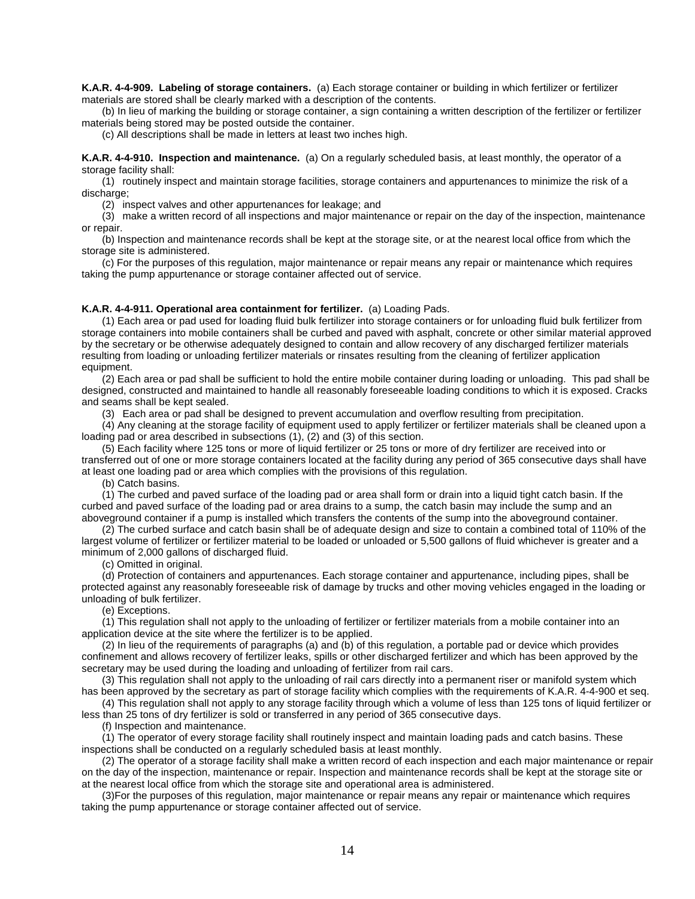**K.A.R. 4-4-909. Labeling of storage containers.** (a) Each storage container or building in which fertilizer or fertilizer materials are stored shall be clearly marked with a description of the contents.

(b) In lieu of marking the building or storage container, a sign containing a written description of the fertilizer or fertilizer materials being stored may be posted outside the container.

(c) All descriptions shall be made in letters at least two inches high.

**K.A.R. 4-4-910. Inspection and maintenance.** (a) On a regularly scheduled basis, at least monthly, the operator of a storage facility shall:

(1) routinely inspect and maintain storage facilities, storage containers and appurtenances to minimize the risk of a discharge;

(2) inspect valves and other appurtenances for leakage; and

(3) make a written record of all inspections and major maintenance or repair on the day of the inspection, maintenance or repair.

(b) Inspection and maintenance records shall be kept at the storage site, or at the nearest local office from which the storage site is administered.

(c) For the purposes of this regulation, major maintenance or repair means any repair or maintenance which requires taking the pump appurtenance or storage container affected out of service.

#### **K.A.R. 4-4-911. Operational area containment for fertilizer.** (a) Loading Pads.

(1) Each area or pad used for loading fluid bulk fertilizer into storage containers or for unloading fluid bulk fertilizer from storage containers into mobile containers shall be curbed and paved with asphalt, concrete or other similar material approved by the secretary or be otherwise adequately designed to contain and allow recovery of any discharged fertilizer materials resulting from loading or unloading fertilizer materials or rinsates resulting from the cleaning of fertilizer application equipment.

(2) Each area or pad shall be sufficient to hold the entire mobile container during loading or unloading. This pad shall be designed, constructed and maintained to handle all reasonably foreseeable loading conditions to which it is exposed. Cracks and seams shall be kept sealed.

(3) Each area or pad shall be designed to prevent accumulation and overflow resulting from precipitation.

(4) Any cleaning at the storage facility of equipment used to apply fertilizer or fertilizer materials shall be cleaned upon a loading pad or area described in subsections (1), (2) and (3) of this section.

(5) Each facility where 125 tons or more of liquid fertilizer or 25 tons or more of dry fertilizer are received into or transferred out of one or more storage containers located at the facility during any period of 365 consecutive days shall have at least one loading pad or area which complies with the provisions of this regulation.

(b) Catch basins.

(1) The curbed and paved surface of the loading pad or area shall form or drain into a liquid tight catch basin. If the curbed and paved surface of the loading pad or area drains to a sump, the catch basin may include the sump and an aboveground container if a pump is installed which transfers the contents of the sump into the aboveground container.

(2) The curbed surface and catch basin shall be of adequate design and size to contain a combined total of 110% of the largest volume of fertilizer or fertilizer material to be loaded or unloaded or 5,500 gallons of fluid whichever is greater and a minimum of 2,000 gallons of discharged fluid.

(c) Omitted in original.

(d) Protection of containers and appurtenances. Each storage container and appurtenance, including pipes, shall be protected against any reasonably foreseeable risk of damage by trucks and other moving vehicles engaged in the loading or unloading of bulk fertilizer.

(e) Exceptions.

(1) This regulation shall not apply to the unloading of fertilizer or fertilizer materials from a mobile container into an application device at the site where the fertilizer is to be applied.

(2) In lieu of the requirements of paragraphs (a) and (b) of this regulation, a portable pad or device which provides confinement and allows recovery of fertilizer leaks, spills or other discharged fertilizer and which has been approved by the secretary may be used during the loading and unloading of fertilizer from rail cars.

(3) This regulation shall not apply to the unloading of rail cars directly into a permanent riser or manifold system which has been approved by the secretary as part of storage facility which complies with the requirements of K.A.R. 4-4-900 et seq. (4) This regulation shall not apply to any storage facility through which a volume of less than 125 tons of liquid fertilizer or

less than 25 tons of dry fertilizer is sold or transferred in any period of 365 consecutive days.

(f) Inspection and maintenance.

(1) The operator of every storage facility shall routinely inspect and maintain loading pads and catch basins. These inspections shall be conducted on a regularly scheduled basis at least monthly.

(2) The operator of a storage facility shall make a written record of each inspection and each major maintenance or repair on the day of the inspection, maintenance or repair. Inspection and maintenance records shall be kept at the storage site or at the nearest local office from which the storage site and operational area is administered.

(3)For the purposes of this regulation, major maintenance or repair means any repair or maintenance which requires taking the pump appurtenance or storage container affected out of service.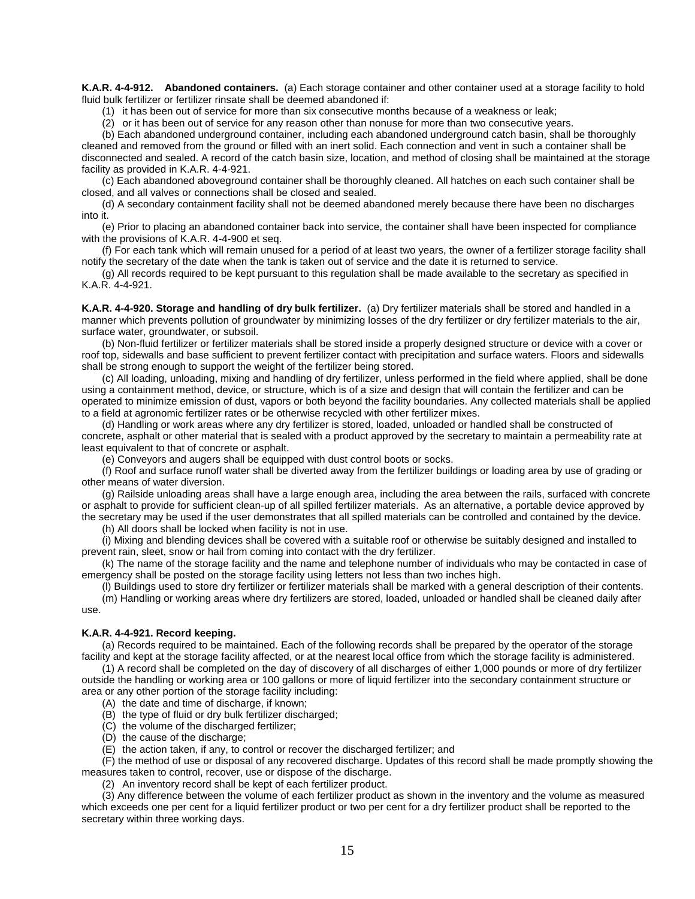**K.A.R. 4-4-912. Abandoned containers.** (a) Each storage container and other container used at a storage facility to hold fluid bulk fertilizer or fertilizer rinsate shall be deemed abandoned if:

(1) it has been out of service for more than six consecutive months because of a weakness or leak;

(2) or it has been out of service for any reason other than nonuse for more than two consecutive years.

(b) Each abandoned underground container, including each abandoned underground catch basin, shall be thoroughly cleaned and removed from the ground or filled with an inert solid. Each connection and vent in such a container shall be disconnected and sealed. A record of the catch basin size, location, and method of closing shall be maintained at the storage facility as provided in K.A.R. 4-4-921.

(c) Each abandoned aboveground container shall be thoroughly cleaned. All hatches on each such container shall be closed, and all valves or connections shall be closed and sealed.

(d) A secondary containment facility shall not be deemed abandoned merely because there have been no discharges into it.

(e) Prior to placing an abandoned container back into service, the container shall have been inspected for compliance with the provisions of K.A.R. 4-4-900 et seq.

(f) For each tank which will remain unused for a period of at least two years, the owner of a fertilizer storage facility shall notify the secretary of the date when the tank is taken out of service and the date it is returned to service.

(g) All records required to be kept pursuant to this regulation shall be made available to the secretary as specified in K.A.R. 4-4-921.

**K.A.R. 4-4-920. Storage and handling of dry bulk fertilizer.** (a) Dry fertilizer materials shall be stored and handled in a manner which prevents pollution of groundwater by minimizing losses of the dry fertilizer or dry fertilizer materials to the air, surface water, groundwater, or subsoil.

(b) Non-fluid fertilizer or fertilizer materials shall be stored inside a properly designed structure or device with a cover or roof top, sidewalls and base sufficient to prevent fertilizer contact with precipitation and surface waters. Floors and sidewalls shall be strong enough to support the weight of the fertilizer being stored.

(c) All loading, unloading, mixing and handling of dry fertilizer, unless performed in the field where applied, shall be done using a containment method, device, or structure, which is of a size and design that will contain the fertilizer and can be operated to minimize emission of dust, vapors or both beyond the facility boundaries. Any collected materials shall be applied to a field at agronomic fertilizer rates or be otherwise recycled with other fertilizer mixes.

(d) Handling or work areas where any dry fertilizer is stored, loaded, unloaded or handled shall be constructed of concrete, asphalt or other material that is sealed with a product approved by the secretary to maintain a permeability rate at least equivalent to that of concrete or asphalt.

(e) Conveyors and augers shall be equipped with dust control boots or socks.

(f) Roof and surface runoff water shall be diverted away from the fertilizer buildings or loading area by use of grading or other means of water diversion.

(g) Railside unloading areas shall have a large enough area, including the area between the rails, surfaced with concrete or asphalt to provide for sufficient clean-up of all spilled fertilizer materials. As an alternative, a portable device approved by the secretary may be used if the user demonstrates that all spilled materials can be controlled and contained by the device.

(h) All doors shall be locked when facility is not in use.

(i) Mixing and blending devices shall be covered with a suitable roof or otherwise be suitably designed and installed to prevent rain, sleet, snow or hail from coming into contact with the dry fertilizer.

(k) The name of the storage facility and the name and telephone number of individuals who may be contacted in case of emergency shall be posted on the storage facility using letters not less than two inches high.

(l) Buildings used to store dry fertilizer or fertilizer materials shall be marked with a general description of their contents.

(m) Handling or working areas where dry fertilizers are stored, loaded, unloaded or handled shall be cleaned daily after use.

### **K.A.R. 4-4-921. Record keeping.**

(a) Records required to be maintained. Each of the following records shall be prepared by the operator of the storage facility and kept at the storage facility affected, or at the nearest local office from which the storage facility is administered.

(1) A record shall be completed on the day of discovery of all discharges of either 1,000 pounds or more of dry fertilizer outside the handling or working area or 100 gallons or more of liquid fertilizer into the secondary containment structure or area or any other portion of the storage facility including:

(A) the date and time of discharge, if known;

(B) the type of fluid or dry bulk fertilizer discharged;

(C) the volume of the discharged fertilizer;

(D) the cause of the discharge;

(E) the action taken, if any, to control or recover the discharged fertilizer; and

(F) the method of use or disposal of any recovered discharge. Updates of this record shall be made promptly showing the measures taken to control, recover, use or dispose of the discharge.

(2) An inventory record shall be kept of each fertilizer product.

(3) Any difference between the volume of each fertilizer product as shown in the inventory and the volume as measured which exceeds one per cent for a liquid fertilizer product or two per cent for a dry fertilizer product shall be reported to the secretary within three working days.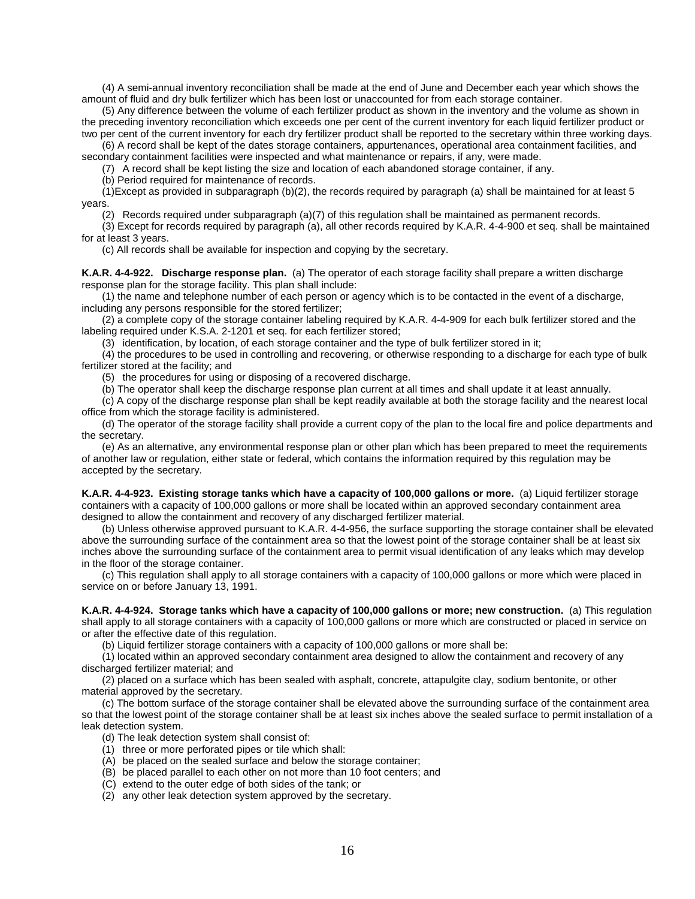(4) A semi-annual inventory reconciliation shall be made at the end of June and December each year which shows the amount of fluid and dry bulk fertilizer which has been lost or unaccounted for from each storage container.

(5) Any difference between the volume of each fertilizer product as shown in the inventory and the volume as shown in the preceding inventory reconciliation which exceeds one per cent of the current inventory for each liquid fertilizer product or two per cent of the current inventory for each dry fertilizer product shall be reported to the secretary within three working days.

(6) A record shall be kept of the dates storage containers, appurtenances, operational area containment facilities, and secondary containment facilities were inspected and what maintenance or repairs, if any, were made.

(7) A record shall be kept listing the size and location of each abandoned storage container, if any.

(b) Period required for maintenance of records.

(1)Except as provided in subparagraph (b)(2), the records required by paragraph (a) shall be maintained for at least 5 years.

(2) Records required under subparagraph (a)(7) of this regulation shall be maintained as permanent records.

(3) Except for records required by paragraph (a), all other records required by K.A.R. 4-4-900 et seq. shall be maintained for at least 3 years.

(c) All records shall be available for inspection and copying by the secretary.

**K.A.R. 4-4-922. Discharge response plan.** (a) The operator of each storage facility shall prepare a written discharge response plan for the storage facility. This plan shall include:

(1) the name and telephone number of each person or agency which is to be contacted in the event of a discharge, including any persons responsible for the stored fertilizer;

(2) a complete copy of the storage container labeling required by K.A.R. 4-4-909 for each bulk fertilizer stored and the labeling required under K.S.A. 2-1201 et seq. for each fertilizer stored;

(3) identification, by location, of each storage container and the type of bulk fertilizer stored in it;

(4) the procedures to be used in controlling and recovering, or otherwise responding to a discharge for each type of bulk fertilizer stored at the facility; and

(5) the procedures for using or disposing of a recovered discharge.

(b) The operator shall keep the discharge response plan current at all times and shall update it at least annually.

(c) A copy of the discharge response plan shall be kept readily available at both the storage facility and the nearest local office from which the storage facility is administered.

(d) The operator of the storage facility shall provide a current copy of the plan to the local fire and police departments and the secretary.

(e) As an alternative, any environmental response plan or other plan which has been prepared to meet the requirements of another law or regulation, either state or federal, which contains the information required by this regulation may be accepted by the secretary.

**K.A.R. 4-4-923. Existing storage tanks which have a capacity of 100,000 gallons or more.** (a) Liquid fertilizer storage containers with a capacity of 100,000 gallons or more shall be located within an approved secondary containment area designed to allow the containment and recovery of any discharged fertilizer material.

(b) Unless otherwise approved pursuant to K.A.R. 4-4-956, the surface supporting the storage container shall be elevated above the surrounding surface of the containment area so that the lowest point of the storage container shall be at least six inches above the surrounding surface of the containment area to permit visual identification of any leaks which may develop in the floor of the storage container.

(c) This regulation shall apply to all storage containers with a capacity of 100,000 gallons or more which were placed in service on or before January 13, 1991.

**K.A.R. 4-4-924. Storage tanks which have a capacity of 100,000 gallons or more; new construction.** (a) This regulation shall apply to all storage containers with a capacity of 100,000 gallons or more which are constructed or placed in service on or after the effective date of this regulation.

(b) Liquid fertilizer storage containers with a capacity of 100,000 gallons or more shall be:

(1) located within an approved secondary containment area designed to allow the containment and recovery of any discharged fertilizer material; and

(2) placed on a surface which has been sealed with asphalt, concrete, attapulgite clay, sodium bentonite, or other material approved by the secretary.

(c) The bottom surface of the storage container shall be elevated above the surrounding surface of the containment area so that the lowest point of the storage container shall be at least six inches above the sealed surface to permit installation of a leak detection system.

- (d) The leak detection system shall consist of:
- (1) three or more perforated pipes or tile which shall:
- (A) be placed on the sealed surface and below the storage container;
- (B) be placed parallel to each other on not more than 10 foot centers; and
- (C) extend to the outer edge of both sides of the tank; or
- (2) any other leak detection system approved by the secretary.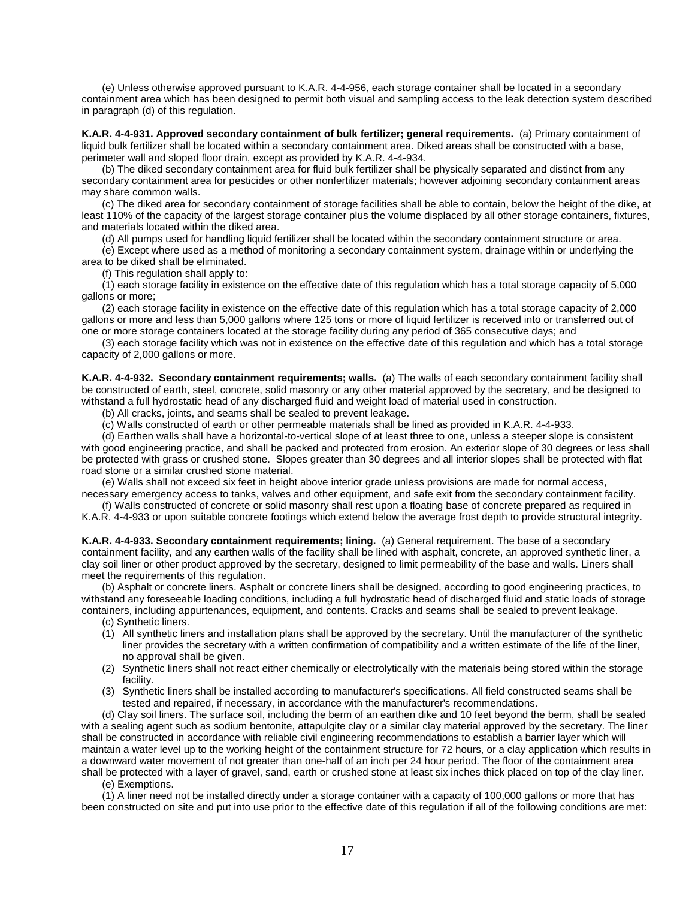(e) Unless otherwise approved pursuant to K.A.R. 4-4-956, each storage container shall be located in a secondary containment area which has been designed to permit both visual and sampling access to the leak detection system described in paragraph (d) of this regulation.

**K.A.R. 4-4-931. Approved secondary containment of bulk fertilizer; general requirements.** (a) Primary containment of liquid bulk fertilizer shall be located within a secondary containment area. Diked areas shall be constructed with a base, perimeter wall and sloped floor drain, except as provided by K.A.R. 4-4-934.

(b) The diked secondary containment area for fluid bulk fertilizer shall be physically separated and distinct from any secondary containment area for pesticides or other nonfertilizer materials; however adjoining secondary containment areas may share common walls.

(c) The diked area for secondary containment of storage facilities shall be able to contain, below the height of the dike, at least 110% of the capacity of the largest storage container plus the volume displaced by all other storage containers, fixtures, and materials located within the diked area.

(d) All pumps used for handling liquid fertilizer shall be located within the secondary containment structure or area.

(e) Except where used as a method of monitoring a secondary containment system, drainage within or underlying the area to be diked shall be eliminated.

(f) This regulation shall apply to:

(1) each storage facility in existence on the effective date of this regulation which has a total storage capacity of 5,000 gallons or more;

(2) each storage facility in existence on the effective date of this regulation which has a total storage capacity of 2,000 gallons or more and less than 5,000 gallons where 125 tons or more of liquid fertilizer is received into or transferred out of one or more storage containers located at the storage facility during any period of 365 consecutive days; and

(3) each storage facility which was not in existence on the effective date of this regulation and which has a total storage capacity of 2,000 gallons or more.

**K.A.R. 4-4-932. Secondary containment requirements; walls.** (a) The walls of each secondary containment facility shall be constructed of earth, steel, concrete, solid masonry or any other material approved by the secretary, and be designed to withstand a full hydrostatic head of any discharged fluid and weight load of material used in construction.

(b) All cracks, joints, and seams shall be sealed to prevent leakage.

(c) Walls constructed of earth or other permeable materials shall be lined as provided in K.A.R. 4-4-933.

(d) Earthen walls shall have a horizontal-to-vertical slope of at least three to one, unless a steeper slope is consistent with good engineering practice, and shall be packed and protected from erosion. An exterior slope of 30 degrees or less shall be protected with grass or crushed stone. Slopes greater than 30 degrees and all interior slopes shall be protected with flat road stone or a similar crushed stone material.

(e) Walls shall not exceed six feet in height above interior grade unless provisions are made for normal access, necessary emergency access to tanks, valves and other equipment, and safe exit from the secondary containment facility.

(f) Walls constructed of concrete or solid masonry shall rest upon a floating base of concrete prepared as required in K.A.R. 4-4-933 or upon suitable concrete footings which extend below the average frost depth to provide structural integrity.

**K.A.R. 4-4-933. Secondary containment requirements; lining.** (a) General requirement. The base of a secondary containment facility, and any earthen walls of the facility shall be lined with asphalt, concrete, an approved synthetic liner, a clay soil liner or other product approved by the secretary, designed to limit permeability of the base and walls. Liners shall meet the requirements of this regulation.

(b) Asphalt or concrete liners. Asphalt or concrete liners shall be designed, according to good engineering practices, to withstand any foreseeable loading conditions, including a full hydrostatic head of discharged fluid and static loads of storage containers, including appurtenances, equipment, and contents. Cracks and seams shall be sealed to prevent leakage.

(c) Synthetic liners.

- (1) All synthetic liners and installation plans shall be approved by the secretary. Until the manufacturer of the synthetic liner provides the secretary with a written confirmation of compatibility and a written estimate of the life of the liner, no approval shall be given.
- (2) Synthetic liners shall not react either chemically or electrolytically with the materials being stored within the storage facility.
- (3) Synthetic liners shall be installed according to manufacturer's specifications. All field constructed seams shall be tested and repaired, if necessary, in accordance with the manufacturer's recommendations.

(d) Clay soil liners. The surface soil, including the berm of an earthen dike and 10 feet beyond the berm, shall be sealed with a sealing agent such as sodium bentonite, attapulgite clay or a similar clay material approved by the secretary. The liner shall be constructed in accordance with reliable civil engineering recommendations to establish a barrier layer which will maintain a water level up to the working height of the containment structure for 72 hours, or a clay application which results in a downward water movement of not greater than one-half of an inch per 24 hour period. The floor of the containment area shall be protected with a layer of gravel, sand, earth or crushed stone at least six inches thick placed on top of the clay liner.

(e) Exemptions.

(1) A liner need not be installed directly under a storage container with a capacity of 100,000 gallons or more that has been constructed on site and put into use prior to the effective date of this regulation if all of the following conditions are met: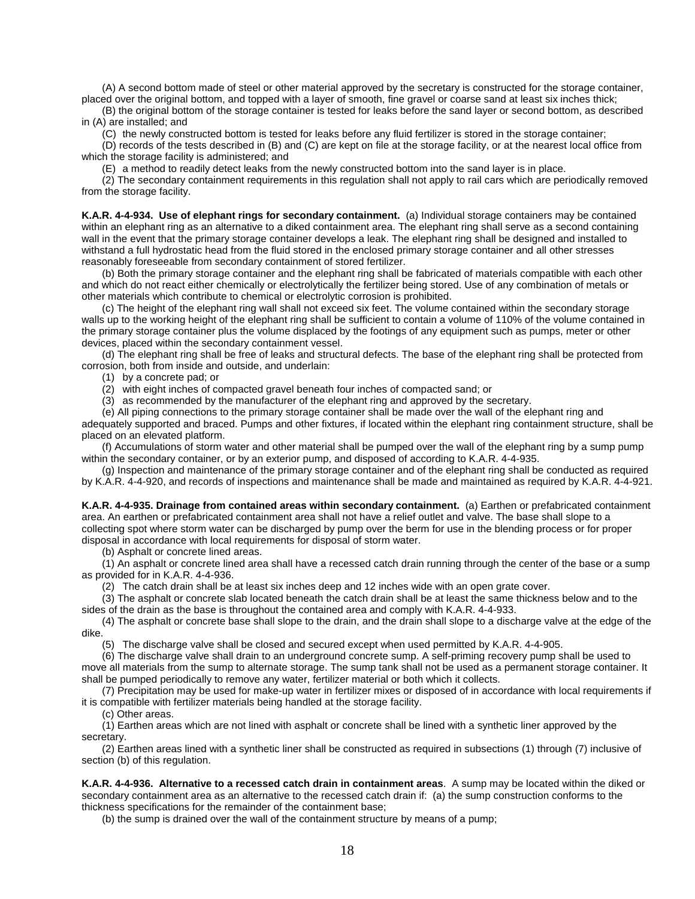(A) A second bottom made of steel or other material approved by the secretary is constructed for the storage container, placed over the original bottom, and topped with a layer of smooth, fine gravel or coarse sand at least six inches thick;

(B) the original bottom of the storage container is tested for leaks before the sand layer or second bottom, as described in (A) are installed; and

(C) the newly constructed bottom is tested for leaks before any fluid fertilizer is stored in the storage container;

(D) records of the tests described in (B) and (C) are kept on file at the storage facility, or at the nearest local office from which the storage facility is administered; and

(E) a method to readily detect leaks from the newly constructed bottom into the sand layer is in place.

(2) The secondary containment requirements in this regulation shall not apply to rail cars which are periodically removed from the storage facility.

**K.A.R. 4-4-934. Use of elephant rings for secondary containment.** (a) Individual storage containers may be contained within an elephant ring as an alternative to a diked containment area. The elephant ring shall serve as a second containing wall in the event that the primary storage container develops a leak. The elephant ring shall be designed and installed to withstand a full hydrostatic head from the fluid stored in the enclosed primary storage container and all other stresses reasonably foreseeable from secondary containment of stored fertilizer.

(b) Both the primary storage container and the elephant ring shall be fabricated of materials compatible with each other and which do not react either chemically or electrolytically the fertilizer being stored. Use of any combination of metals or other materials which contribute to chemical or electrolytic corrosion is prohibited.

(c) The height of the elephant ring wall shall not exceed six feet. The volume contained within the secondary storage walls up to the working height of the elephant ring shall be sufficient to contain a volume of 110% of the volume contained in the primary storage container plus the volume displaced by the footings of any equipment such as pumps, meter or other devices, placed within the secondary containment vessel.

(d) The elephant ring shall be free of leaks and structural defects. The base of the elephant ring shall be protected from corrosion, both from inside and outside, and underlain:

(1) by a concrete pad; or

(2) with eight inches of compacted gravel beneath four inches of compacted sand; or

(3) as recommended by the manufacturer of the elephant ring and approved by the secretary.

(e) All piping connections to the primary storage container shall be made over the wall of the elephant ring and adequately supported and braced. Pumps and other fixtures, if located within the elephant ring containment structure, shall be placed on an elevated platform.

(f) Accumulations of storm water and other material shall be pumped over the wall of the elephant ring by a sump pump within the secondary container, or by an exterior pump, and disposed of according to K.A.R. 4-4-935.

(g) Inspection and maintenance of the primary storage container and of the elephant ring shall be conducted as required by K.A.R. 4-4-920, and records of inspections and maintenance shall be made and maintained as required by K.A.R. 4-4-921.

**K.A.R. 4-4-935. Drainage from contained areas within secondary containment.** (a) Earthen or prefabricated containment area. An earthen or prefabricated containment area shall not have a relief outlet and valve. The base shall slope to a collecting spot where storm water can be discharged by pump over the berm for use in the blending process or for proper disposal in accordance with local requirements for disposal of storm water.

(b) Asphalt or concrete lined areas.

(1) An asphalt or concrete lined area shall have a recessed catch drain running through the center of the base or a sump as provided for in K.A.R. 4-4-936.

(2) The catch drain shall be at least six inches deep and 12 inches wide with an open grate cover.

(3) The asphalt or concrete slab located beneath the catch drain shall be at least the same thickness below and to the sides of the drain as the base is throughout the contained area and comply with K.A.R. 4-4-933.

(4) The asphalt or concrete base shall slope to the drain, and the drain shall slope to a discharge valve at the edge of the dike.

(5) The discharge valve shall be closed and secured except when used permitted by K.A.R. 4-4-905.

(6) The discharge valve shall drain to an underground concrete sump. A self-priming recovery pump shall be used to move all materials from the sump to alternate storage. The sump tank shall not be used as a permanent storage container. It shall be pumped periodically to remove any water, fertilizer material or both which it collects.

(7) Precipitation may be used for make-up water in fertilizer mixes or disposed of in accordance with local requirements if it is compatible with fertilizer materials being handled at the storage facility.

(c) Other areas.

(1) Earthen areas which are not lined with asphalt or concrete shall be lined with a synthetic liner approved by the secretary.

(2) Earthen areas lined with a synthetic liner shall be constructed as required in subsections (1) through (7) inclusive of section (b) of this regulation.

**K.A.R. 4-4-936. Alternative to a recessed catch drain in containment areas**. A sump may be located within the diked or secondary containment area as an alternative to the recessed catch drain if: (a) the sump construction conforms to the thickness specifications for the remainder of the containment base;

(b) the sump is drained over the wall of the containment structure by means of a pump;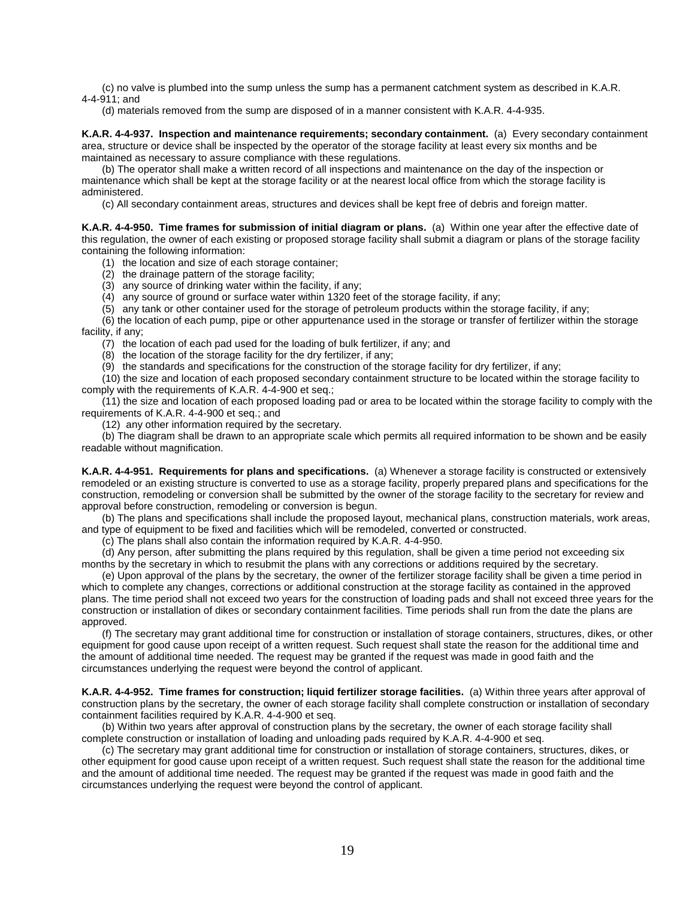(c) no valve is plumbed into the sump unless the sump has a permanent catchment system as described in K.A.R. 4-4-911; and

(d) materials removed from the sump are disposed of in a manner consistent with K.A.R. 4-4-935.

**K.A.R. 4-4-937. Inspection and maintenance requirements; secondary containment.** (a) Every secondary containment area, structure or device shall be inspected by the operator of the storage facility at least every six months and be maintained as necessary to assure compliance with these regulations.

(b) The operator shall make a written record of all inspections and maintenance on the day of the inspection or maintenance which shall be kept at the storage facility or at the nearest local office from which the storage facility is administered.

(c) All secondary containment areas, structures and devices shall be kept free of debris and foreign matter.

**K.A.R. 4-4-950. Time frames for submission of initial diagram or plans.** (a) Within one year after the effective date of this regulation, the owner of each existing or proposed storage facility shall submit a diagram or plans of the storage facility containing the following information:

(1) the location and size of each storage container;

(2) the drainage pattern of the storage facility;

(3) any source of drinking water within the facility, if any;

(4) any source of ground or surface water within 1320 feet of the storage facility, if any;

(5) any tank or other container used for the storage of petroleum products within the storage facility, if any;

(6) the location of each pump, pipe or other appurtenance used in the storage or transfer of fertilizer within the storage facility, if any;

(7) the location of each pad used for the loading of bulk fertilizer, if any; and

 $(8)$  the location of the storage facility for the dry fertilizer, if any;

(9) the standards and specifications for the construction of the storage facility for dry fertilizer, if any;

(10) the size and location of each proposed secondary containment structure to be located within the storage facility to comply with the requirements of K.A.R. 4-4-900 et seq.;

(11) the size and location of each proposed loading pad or area to be located within the storage facility to comply with the requirements of K.A.R. 4-4-900 et seq.; and

(12) any other information required by the secretary.

(b) The diagram shall be drawn to an appropriate scale which permits all required information to be shown and be easily readable without magnification.

**K.A.R. 4-4-951. Requirements for plans and specifications.** (a) Whenever a storage facility is constructed or extensively remodeled or an existing structure is converted to use as a storage facility, properly prepared plans and specifications for the construction, remodeling or conversion shall be submitted by the owner of the storage facility to the secretary for review and approval before construction, remodeling or conversion is begun.

(b) The plans and specifications shall include the proposed layout, mechanical plans, construction materials, work areas, and type of equipment to be fixed and facilities which will be remodeled, converted or constructed.

(c) The plans shall also contain the information required by K.A.R. 4-4-950.

(d) Any person, after submitting the plans required by this regulation, shall be given a time period not exceeding six months by the secretary in which to resubmit the plans with any corrections or additions required by the secretary.

(e) Upon approval of the plans by the secretary, the owner of the fertilizer storage facility shall be given a time period in which to complete any changes, corrections or additional construction at the storage facility as contained in the approved plans. The time period shall not exceed two years for the construction of loading pads and shall not exceed three years for the construction or installation of dikes or secondary containment facilities. Time periods shall run from the date the plans are approved.

(f) The secretary may grant additional time for construction or installation of storage containers, structures, dikes, or other equipment for good cause upon receipt of a written request. Such request shall state the reason for the additional time and the amount of additional time needed. The request may be granted if the request was made in good faith and the circumstances underlying the request were beyond the control of applicant.

**K.A.R. 4-4-952. Time frames for construction; liquid fertilizer storage facilities.** (a) Within three years after approval of construction plans by the secretary, the owner of each storage facility shall complete construction or installation of secondary containment facilities required by K.A.R. 4-4-900 et seq.

(b) Within two years after approval of construction plans by the secretary, the owner of each storage facility shall complete construction or installation of loading and unloading pads required by K.A.R. 4-4-900 et seq.

(c) The secretary may grant additional time for construction or installation of storage containers, structures, dikes, or other equipment for good cause upon receipt of a written request. Such request shall state the reason for the additional time and the amount of additional time needed. The request may be granted if the request was made in good faith and the circumstances underlying the request were beyond the control of applicant.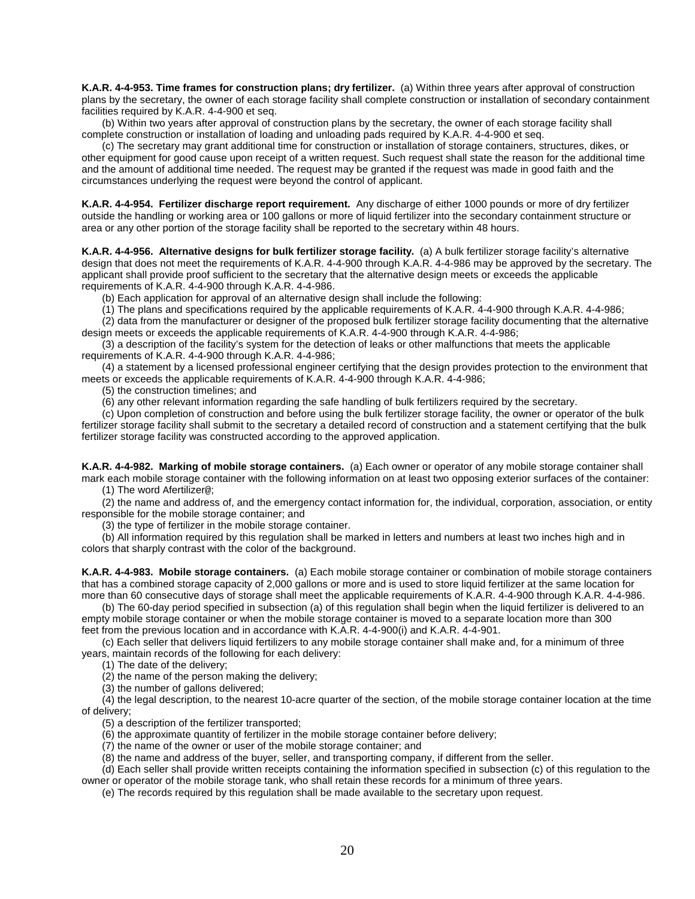**K.A.R. 4-4-953. Time frames for construction plans; dry fertilizer.** (a) Within three years after approval of construction plans by the secretary, the owner of each storage facility shall complete construction or installation of secondary containment facilities required by K.A.R. 4-4-900 et seq.

(b) Within two years after approval of construction plans by the secretary, the owner of each storage facility shall complete construction or installation of loading and unloading pads required by K.A.R. 4-4-900 et seq.

(c) The secretary may grant additional time for construction or installation of storage containers, structures, dikes, or other equipment for good cause upon receipt of a written request. Such request shall state the reason for the additional time and the amount of additional time needed. The request may be granted if the request was made in good faith and the circumstances underlying the request were beyond the control of applicant.

**K.A.R. 4-4-954. Fertilizer discharge report requirement.** Any discharge of either 1000 pounds or more of dry fertilizer outside the handling or working area or 100 gallons or more of liquid fertilizer into the secondary containment structure or area or any other portion of the storage facility shall be reported to the secretary within 48 hours.

**K.A.R. 4-4-956. Alternative designs for bulk fertilizer storage facility.** (a) A bulk fertilizer storage facility's alternative design that does not meet the requirements of K.A.R. 4-4-900 through K.A.R. 4-4-986 may be approved by the secretary. The applicant shall provide proof sufficient to the secretary that the alternative design meets or exceeds the applicable requirements of K.A.R. 4-4-900 through K.A.R. 4-4-986.

(b) Each application for approval of an alternative design shall include the following:

(1) The plans and specifications required by the applicable requirements of K.A.R. 4-4-900 through K.A.R. 4-4-986;

(2) data from the manufacturer or designer of the proposed bulk fertilizer storage facility documenting that the alternative design meets or exceeds the applicable requirements of K.A.R. 4-4-900 through K.A.R. 4-4-986;

(3) a description of the facility's system for the detection of leaks or other malfunctions that meets the applicable requirements of K.A.R. 4-4-900 through K.A.R. 4-4-986;

(4) a statement by a licensed professional engineer certifying that the design provides protection to the environment that meets or exceeds the applicable requirements of K.A.R. 4-4-900 through K.A.R. 4-4-986;

(5) the construction timelines; and

(6) any other relevant information regarding the safe handling of bulk fertilizers required by the secretary.

(c) Upon completion of construction and before using the bulk fertilizer storage facility, the owner or operator of the bulk fertilizer storage facility shall submit to the secretary a detailed record of construction and a statement certifying that the bulk fertilizer storage facility was constructed according to the approved application.

**K.A.R. 4-4-982. Marking of mobile storage containers.** (a) Each owner or operator of any mobile storage container shall mark each mobile storage container with the following information on at least two opposing exterior surfaces of the container:

(1) The word Afertilizer@;

(2) the name and address of, and the emergency contact information for, the individual, corporation, association, or entity responsible for the mobile storage container; and

(3) the type of fertilizer in the mobile storage container.

(b) All information required by this regulation shall be marked in letters and numbers at least two inches high and in colors that sharply contrast with the color of the background.

**K.A.R. 4-4-983. Mobile storage containers.** (a) Each mobile storage container or combination of mobile storage containers that has a combined storage capacity of 2,000 gallons or more and is used to store liquid fertilizer at the same location for more than 60 consecutive days of storage shall meet the applicable requirements of K.A.R. 4-4-900 through K.A.R. 4-4-986.

(b) The 60-day period specified in subsection (a) of this regulation shall begin when the liquid fertilizer is delivered to an empty mobile storage container or when the mobile storage container is moved to a separate location more than 300 feet from the previous location and in accordance with K.A.R. 4-4-900(i) and K.A.R. 4-4-901.

(c) Each seller that delivers liquid fertilizers to any mobile storage container shall make and, for a minimum of three years, maintain records of the following for each delivery:

(1) The date of the delivery;

(2) the name of the person making the delivery;

(3) the number of gallons delivered;

(4) the legal description, to the nearest 10-acre quarter of the section, of the mobile storage container location at the time of delivery;

(5) a description of the fertilizer transported;

(6) the approximate quantity of fertilizer in the mobile storage container before delivery;

(7) the name of the owner or user of the mobile storage container; and

(8) the name and address of the buyer, seller, and transporting company, if different from the seller.

(d) Each seller shall provide written receipts containing the information specified in subsection (c) of this regulation to the owner or operator of the mobile storage tank, who shall retain these records for a minimum of three years.

(e) The records required by this regulation shall be made available to the secretary upon request.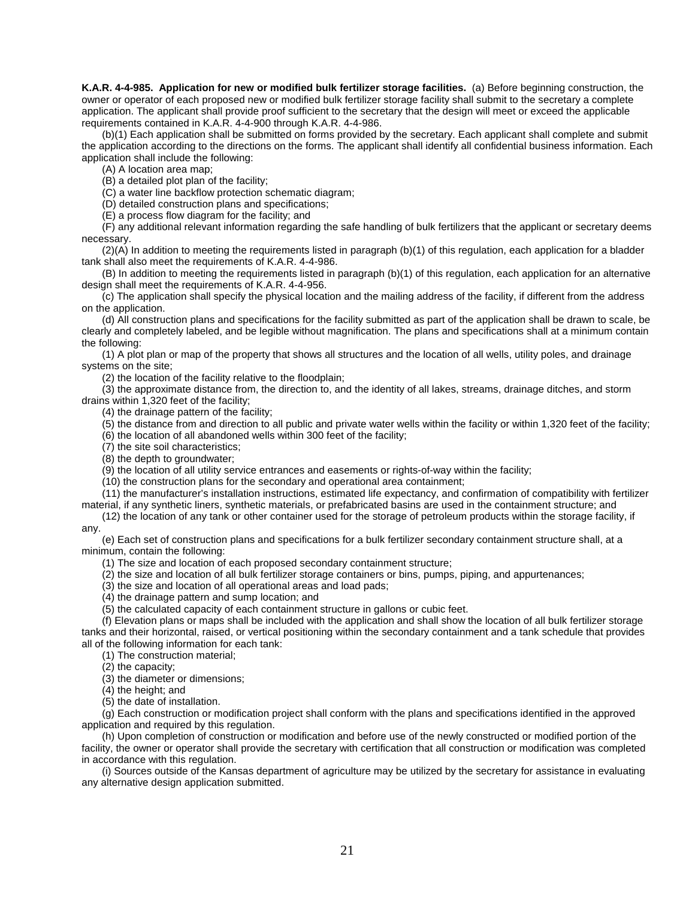**K.A.R. 4-4-985. Application for new or modified bulk fertilizer storage facilities.** (a) Before beginning construction, the owner or operator of each proposed new or modified bulk fertilizer storage facility shall submit to the secretary a complete application. The applicant shall provide proof sufficient to the secretary that the design will meet or exceed the applicable requirements contained in K.A.R. 4-4-900 through K.A.R. 4-4-986.

(b)(1) Each application shall be submitted on forms provided by the secretary. Each applicant shall complete and submit the application according to the directions on the forms. The applicant shall identify all confidential business information. Each application shall include the following:

(A) A location area map;

(B) a detailed plot plan of the facility;

(C) a water line backflow protection schematic diagram;

(D) detailed construction plans and specifications;

(E) a process flow diagram for the facility; and

(F) any additional relevant information regarding the safe handling of bulk fertilizers that the applicant or secretary deems necessary.

(2)(A) In addition to meeting the requirements listed in paragraph (b)(1) of this regulation, each application for a bladder tank shall also meet the requirements of K.A.R. 4-4-986.

(B) In addition to meeting the requirements listed in paragraph (b)(1) of this regulation, each application for an alternative design shall meet the requirements of K.A.R. 4-4-956.

(c) The application shall specify the physical location and the mailing address of the facility, if different from the address on the application.

(d) All construction plans and specifications for the facility submitted as part of the application shall be drawn to scale, be clearly and completely labeled, and be legible without magnification. The plans and specifications shall at a minimum contain the following:

(1) A plot plan or map of the property that shows all structures and the location of all wells, utility poles, and drainage systems on the site;

(2) the location of the facility relative to the floodplain;

(3) the approximate distance from, the direction to, and the identity of all lakes, streams, drainage ditches, and storm drains within 1,320 feet of the facility;

(4) the drainage pattern of the facility;

(5) the distance from and direction to all public and private water wells within the facility or within 1,320 feet of the facility;

(6) the location of all abandoned wells within 300 feet of the facility;

(7) the site soil characteristics;

(8) the depth to groundwater;

(9) the location of all utility service entrances and easements or rights-of-way within the facility;

(10) the construction plans for the secondary and operational area containment;

(11) the manufacturer's installation instructions, estimated life expectancy, and confirmation of compatibility with fertilizer

material, if any synthetic liners, synthetic materials, or prefabricated basins are used in the containment structure; and

(12) the location of any tank or other container used for the storage of petroleum products within the storage facility, if any.

(e) Each set of construction plans and specifications for a bulk fertilizer secondary containment structure shall, at a minimum, contain the following:

(1) The size and location of each proposed secondary containment structure;

- (2) the size and location of all bulk fertilizer storage containers or bins, pumps, piping, and appurtenances;
- (3) the size and location of all operational areas and load pads;

(4) the drainage pattern and sump location; and

(5) the calculated capacity of each containment structure in gallons or cubic feet.

(f) Elevation plans or maps shall be included with the application and shall show the location of all bulk fertilizer storage tanks and their horizontal, raised, or vertical positioning within the secondary containment and a tank schedule that provides all of the following information for each tank:

(1) The construction material;

(2) the capacity;

(3) the diameter or dimensions;

(4) the height; and

(5) the date of installation.

(g) Each construction or modification project shall conform with the plans and specifications identified in the approved application and required by this regulation.

(h) Upon completion of construction or modification and before use of the newly constructed or modified portion of the facility, the owner or operator shall provide the secretary with certification that all construction or modification was completed in accordance with this regulation.

(i) Sources outside of the Kansas department of agriculture may be utilized by the secretary for assistance in evaluating any alternative design application submitted.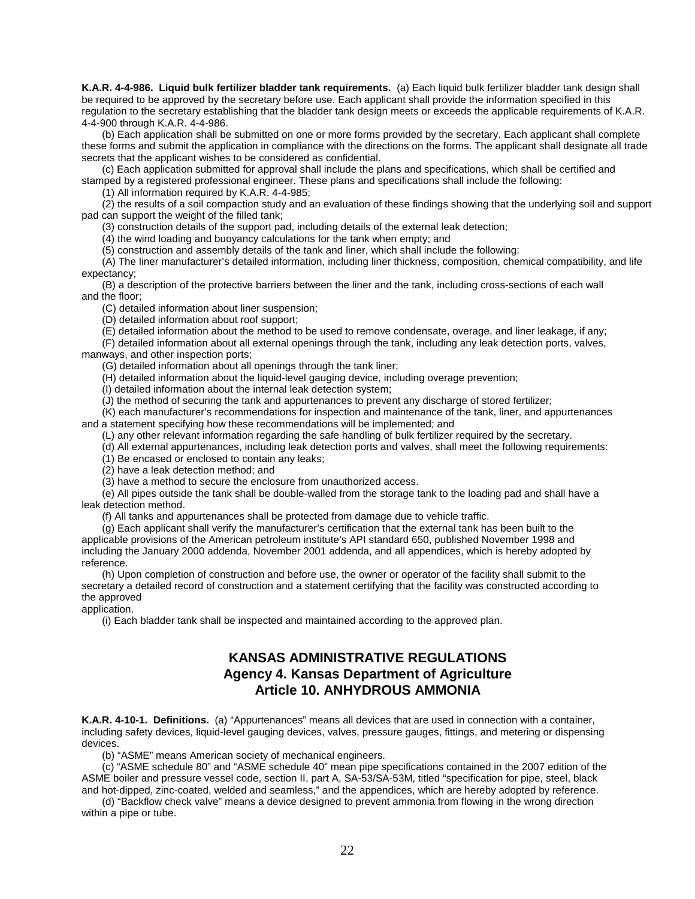**K.A.R. 4-4-986. Liquid bulk fertilizer bladder tank requirements.** (a) Each liquid bulk fertilizer bladder tank design shall be required to be approved by the secretary before use. Each applicant shall provide the information specified in this regulation to the secretary establishing that the bladder tank design meets or exceeds the applicable requirements of K.A.R. 4-4-900 through K.A.R. 4-4-986.

(b) Each application shall be submitted on one or more forms provided by the secretary. Each applicant shall complete these forms and submit the application in compliance with the directions on the forms. The applicant shall designate all trade secrets that the applicant wishes to be considered as confidential.

(c) Each application submitted for approval shall include the plans and specifications, which shall be certified and stamped by a registered professional engineer. These plans and specifications shall include the following:

(1) All information required by K.A.R. 4-4-985;

(2) the results of a soil compaction study and an evaluation of these findings showing that the underlying soil and support pad can support the weight of the filled tank;

(3) construction details of the support pad, including details of the external leak detection;

(4) the wind loading and buoyancy calculations for the tank when empty; and

(5) construction and assembly details of the tank and liner, which shall include the following:

(A) The liner manufacturer's detailed information, including liner thickness, composition, chemical compatibility, and life expectancy;

(B) a description of the protective barriers between the liner and the tank, including cross-sections of each wall and the floor;

(C) detailed information about liner suspension;

(D) detailed information about roof support;

(E) detailed information about the method to be used to remove condensate, overage, and liner leakage, if any;

(F) detailed information about all external openings through the tank, including any leak detection ports, valves, manways, and other inspection ports;

(G) detailed information about all openings through the tank liner;

(H) detailed information about the liquid-level gauging device, including overage prevention;

(I) detailed information about the internal leak detection system;

(J) the method of securing the tank and appurtenances to prevent any discharge of stored fertilizer;

(K) each manufacturer's recommendations for inspection and maintenance of the tank, liner, and appurtenances and a statement specifying how these recommendations will be implemented; and

(L) any other relevant information regarding the safe handling of bulk fertilizer required by the secretary.

(d) All external appurtenances, including leak detection ports and valves, shall meet the following requirements:

(1) Be encased or enclosed to contain any leaks;

(2) have a leak detection method; and

(3) have a method to secure the enclosure from unauthorized access.

(e) All pipes outside the tank shall be double-walled from the storage tank to the loading pad and shall have a leak detection method.

(f) All tanks and appurtenances shall be protected from damage due to vehicle traffic.

(g) Each applicant shall verify the manufacturer's certification that the external tank has been built to the applicable provisions of the American petroleum institute's API standard 650, published November 1998 and including the January 2000 addenda, November 2001 addenda, and all appendices, which is hereby adopted by reference.

(h) Upon completion of construction and before use, the owner or operator of the facility shall submit to the secretary a detailed record of construction and a statement certifying that the facility was constructed according to the approved

application.

(i) Each bladder tank shall be inspected and maintained according to the approved plan.

## **KANSAS ADMINISTRATIVE REGULATIONS Agency 4. Kansas Department of Agriculture Article 10. ANHYDROUS AMMONIA**

**K.A.R. 4-10-1. Definitions.** (a) "Appurtenances" means all devices that are used in connection with a container, including safety devices, liquid-level gauging devices, valves, pressure gauges, fittings, and metering or dispensing devices.

(b) "ASME" means American society of mechanical engineers.

(c) "ASME schedule 80" and "ASME schedule 40" mean pipe specifications contained in the 2007 edition of the ASME boiler and pressure vessel code, section II, part A, SA-53/SA-53M, titled "specification for pipe, steel, black and hot-dipped, zinc-coated, welded and seamless," and the appendices, which are hereby adopted by reference.

(d) "Backflow check valve" means a device designed to prevent ammonia from flowing in the wrong direction within a pipe or tube.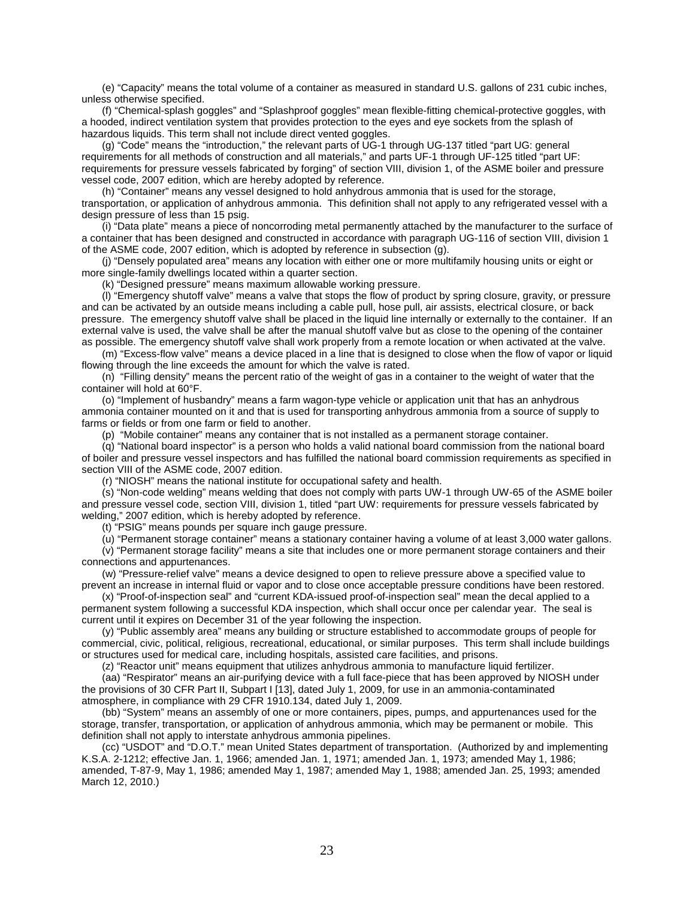(e) "Capacity" means the total volume of a container as measured in standard U.S. gallons of 231 cubic inches, unless otherwise specified.

(f) "Chemical-splash goggles" and "Splashproof goggles" mean flexible-fitting chemical-protective goggles, with a hooded, indirect ventilation system that provides protection to the eyes and eye sockets from the splash of hazardous liquids. This term shall not include direct vented goggles.

(g) "Code" means the "introduction," the relevant parts of UG-1 through UG-137 titled "part UG: general requirements for all methods of construction and all materials," and parts UF-1 through UF-125 titled "part UF: requirements for pressure vessels fabricated by forging" of section VIII, division 1, of the ASME boiler and pressure vessel code, 2007 edition, which are hereby adopted by reference.

(h) "Container" means any vessel designed to hold anhydrous ammonia that is used for the storage, transportation, or application of anhydrous ammonia. This definition shall not apply to any refrigerated vessel with a design pressure of less than 15 psig.

(i) "Data plate" means a piece of noncorroding metal permanently attached by the manufacturer to the surface of a container that has been designed and constructed in accordance with paragraph UG-116 of section VIII, division 1 of the ASME code, 2007 edition, which is adopted by reference in subsection (g).

(j) "Densely populated area" means any location with either one or more multifamily housing units or eight or more single-family dwellings located within a quarter section.

(k) "Designed pressure" means maximum allowable working pressure.

(l) "Emergency shutoff valve" means a valve that stops the flow of product by spring closure, gravity, or pressure and can be activated by an outside means including a cable pull, hose pull, air assists, electrical closure, or back pressure. The emergency shutoff valve shall be placed in the liquid line internally or externally to the container. If an external valve is used, the valve shall be after the manual shutoff valve but as close to the opening of the container as possible. The emergency shutoff valve shall work properly from a remote location or when activated at the valve.

(m) "Excess-flow valve" means a device placed in a line that is designed to close when the flow of vapor or liquid flowing through the line exceeds the amount for which the valve is rated.

(n) "Filling density" means the percent ratio of the weight of gas in a container to the weight of water that the container will hold at 60°F.

(o) "Implement of husbandry" means a farm wagon-type vehicle or application unit that has an anhydrous ammonia container mounted on it and that is used for transporting anhydrous ammonia from a source of supply to farms or fields or from one farm or field to another.

(p)"Mobile container" means any container that is not installed as a permanent storage container.

(q) "National board inspector" is a person who holds a valid national board commission from the national board of boiler and pressure vessel inspectors and has fulfilled the national board commission requirements as specified in section VIII of the ASME code, 2007 edition.

(r) "NIOSH" means the national institute for occupational safety and health.

(s) "Non-code welding" means welding that does not comply with parts UW-1 through UW-65 of the ASME boiler and pressure vessel code, section VIII, division 1, titled "part UW: requirements for pressure vessels fabricated by welding," 2007 edition, which is hereby adopted by reference.

(t) "PSIG" means pounds per square inch gauge pressure.

(u) "Permanent storage container" means a stationary container having a volume of at least 3,000 water gallons. (v) "Permanent storage facility" means a site that includes one or more permanent storage containers and their connections and appurtenances.

(w) "Pressure-relief valve" means a device designed to open to relieve pressure above a specified value to

prevent an increase in internal fluid or vapor and to close once acceptable pressure conditions have been restored. (x) "Proof-of-inspection seal" and "current KDA-issued proof-of-inspection seal" mean the decal applied to a permanent system following a successful KDA inspection, which shall occur once per calendar year. The seal is current until it expires on December 31 of the year following the inspection.

(y) "Public assembly area" means any building or structure established to accommodate groups of people for commercial, civic, political, religious, recreational, educational, or similar purposes. This term shall include buildings or structures used for medical care, including hospitals, assisted care facilities, and prisons.

(z) "Reactor unit" means equipment that utilizes anhydrous ammonia to manufacture liquid fertilizer. (aa) "Respirator" means an air-purifying device with a full face-piece that has been approved by NIOSH under

the provisions of 30 CFR Part II, Subpart I [13], dated July 1, 2009, for use in an ammonia-contaminated atmosphere, in compliance with 29 CFR 1910.134, dated July 1, 2009.

(bb) "System" means an assembly of one or more containers, pipes, pumps, and appurtenances used for the storage, transfer, transportation, or application of anhydrous ammonia, which may be permanent or mobile. This definition shall not apply to interstate anhydrous ammonia pipelines.

(cc) "USDOT" and "D.O.T." mean United States department of transportation. (Authorized by and implementing K.S.A. 2-1212; effective Jan. 1, 1966; amended Jan. 1, 1971; amended Jan. 1, 1973; amended May 1, 1986; amended, T-87-9, May 1, 1986; amended May 1, 1987; amended May 1, 1988; amended Jan. 25, 1993; amended March 12, 2010.)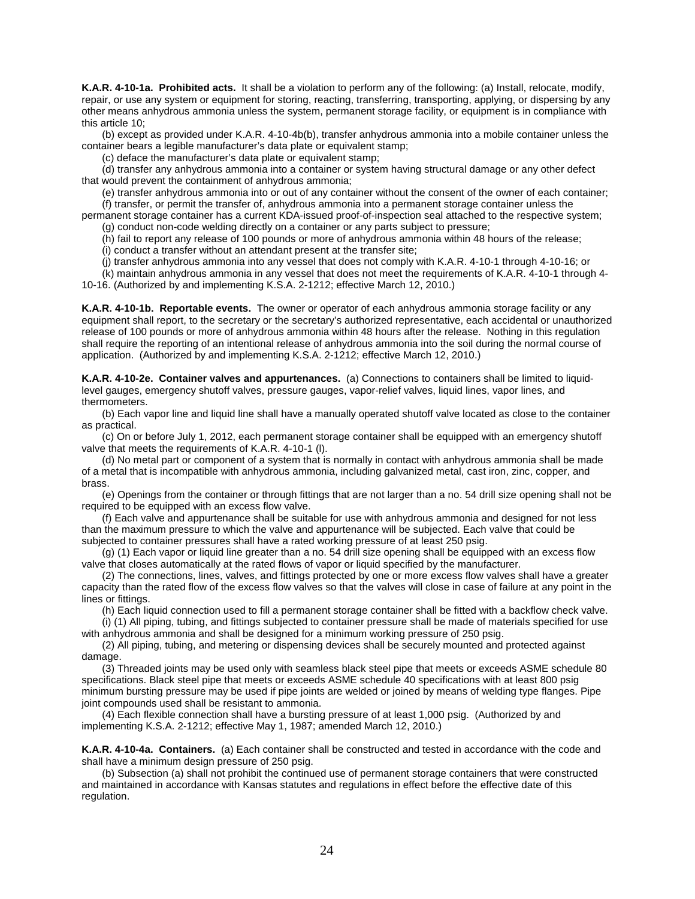**K.A.R. 4-10-1a. Prohibited acts.** It shall be a violation to perform any of the following: (a) Install, relocate, modify, repair, or use any system or equipment for storing, reacting, transferring, transporting, applying, or dispersing by any other means anhydrous ammonia unless the system, permanent storage facility, or equipment is in compliance with this article 10;

(b) except as provided under K.A.R. 4-10-4b(b), transfer anhydrous ammonia into a mobile container unless the container bears a legible manufacturer's data plate or equivalent stamp;

(c) deface the manufacturer's data plate or equivalent stamp;

(d) transfer any anhydrous ammonia into a container or system having structural damage or any other defect that would prevent the containment of anhydrous ammonia;

(e) transfer anhydrous ammonia into or out of any container without the consent of the owner of each container;

(f) transfer, or permit the transfer of, anhydrous ammonia into a permanent storage container unless the permanent storage container has a current KDA-issued proof-of-inspection seal attached to the respective system;

(g) conduct non-code welding directly on a container or any parts subject to pressure;

(h) fail to report any release of 100 pounds or more of anhydrous ammonia within 48 hours of the release;

(i) conduct a transfer without an attendant present at the transfer site;

(j) transfer anhydrous ammonia into any vessel that does not comply with K.A.R. 4-10-1 through 4-10-16; or

(k) maintain anhydrous ammonia in any vessel that does not meet the requirements of K.A.R. 4-10-1 through 4- 10-16. (Authorized by and implementing K.S.A. 2-1212; effective March 12, 2010.)

**K.A.R. 4-10-1b. Reportable events.** The owner or operator of each anhydrous ammonia storage facility or any equipment shall report, to the secretary or the secretary's authorized representative, each accidental or unauthorized release of 100 pounds or more of anhydrous ammonia within 48 hours after the release. Nothing in this regulation shall require the reporting of an intentional release of anhydrous ammonia into the soil during the normal course of application. (Authorized by and implementing K.S.A. 2-1212; effective March 12, 2010.)

**K.A.R. 4-10-2e. Container valves and appurtenances.** (a) Connections to containers shall be limited to liquidlevel gauges, emergency shutoff valves, pressure gauges, vapor-relief valves, liquid lines, vapor lines, and thermometers.

(b) Each vapor line and liquid line shall have a manually operated shutoff valve located as close to the container as practical.

(c) On or before July 1, 2012, each permanent storage container shall be equipped with an emergency shutoff valve that meets the requirements of K.A.R. 4-10-1 (l).

(d) No metal part or component of a system that is normally in contact with anhydrous ammonia shall be made of a metal that is incompatible with anhydrous ammonia, including galvanized metal, cast iron, zinc, copper, and brass.

(e) Openings from the container or through fittings that are not larger than a no. 54 drill size opening shall not be required to be equipped with an excess flow valve.

(f) Each valve and appurtenance shall be suitable for use with anhydrous ammonia and designed for not less than the maximum pressure to which the valve and appurtenance will be subjected. Each valve that could be subjected to container pressures shall have a rated working pressure of at least 250 psig.

(g) (1) Each vapor or liquid line greater than a no. 54 drill size opening shall be equipped with an excess flow valve that closes automatically at the rated flows of vapor or liquid specified by the manufacturer.

(2) The connections, lines, valves, and fittings protected by one or more excess flow valves shall have a greater capacity than the rated flow of the excess flow valves so that the valves will close in case of failure at any point in the lines or fittings.

(h) Each liquid connection used to fill a permanent storage container shall be fitted with a backflow check valve.

(i) (1) All piping, tubing, and fittings subjected to container pressure shall be made of materials specified for use with anhydrous ammonia and shall be designed for a minimum working pressure of 250 psig.

(2) All piping, tubing, and metering or dispensing devices shall be securely mounted and protected against damage.

(3) Threaded joints may be used only with seamless black steel pipe that meets or exceeds ASME schedule 80 specifications. Black steel pipe that meets or exceeds ASME schedule 40 specifications with at least 800 psig minimum bursting pressure may be used if pipe joints are welded or joined by means of welding type flanges. Pipe joint compounds used shall be resistant to ammonia.

(4) Each flexible connection shall have a bursting pressure of at least 1,000 psig. (Authorized by and implementing K.S.A. 2-1212; effective May 1, 1987; amended March 12, 2010.)

**K.A.R. 4-10-4a. Containers.** (a) Each container shall be constructed and tested in accordance with the code and shall have a minimum design pressure of 250 psig.

(b) Subsection (a) shall not prohibit the continued use of permanent storage containers that were constructed and maintained in accordance with Kansas statutes and regulations in effect before the effective date of this regulation.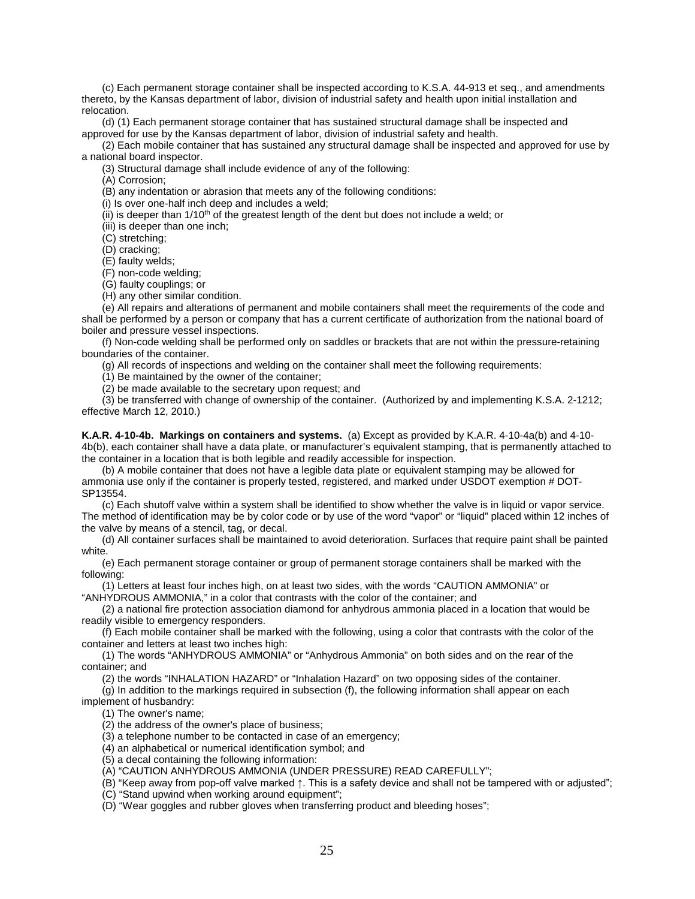(c) Each permanent storage container shall be inspected according to K.S.A. 44-913 et seq., and amendments thereto, by the Kansas department of labor, division of industrial safety and health upon initial installation and relocation.

(d) (1) Each permanent storage container that has sustained structural damage shall be inspected and approved for use by the Kansas department of labor, division of industrial safety and health.

(2) Each mobile container that has sustained any structural damage shall be inspected and approved for use by a national board inspector.

(3) Structural damage shall include evidence of any of the following:

(A) Corrosion;

(B) any indentation or abrasion that meets any of the following conditions:

(i) Is over one-half inch deep and includes a weld;

(ii) is deeper than  $1/10<sup>th</sup>$  of the greatest length of the dent but does not include a weld; or

(iii) is deeper than one inch;

(C) stretching;

(D) cracking;

(E) faulty welds;

(F) non-code welding;

(G) faulty couplings; or

(H) any other similar condition.

(e) All repairs and alterations of permanent and mobile containers shall meet the requirements of the code and shall be performed by a person or company that has a current certificate of authorization from the national board of boiler and pressure vessel inspections.

(f) Non-code welding shall be performed only on saddles or brackets that are not within the pressure-retaining boundaries of the container.

(g) All records of inspections and welding on the container shall meet the following requirements:

(1) Be maintained by the owner of the container;

(2) be made available to the secretary upon request; and

(3) be transferred with change of ownership of the container.(Authorized by and implementing K.S.A. 2-1212; effective March 12, 2010.)

**K.A.R. 4-10-4b. Markings on containers and systems.** (a) Except as provided by K.A.R. 4-10-4a(b) and 4-10- 4b(b), each container shall have a data plate, or manufacturer's equivalent stamping, that is permanently attached to the container in a location that is both legible and readily accessible for inspection.

(b) A mobile container that does not have a legible data plate or equivalent stamping may be allowed for ammonia use only if the container is properly tested, registered, and marked under USDOT exemption # DOT-SP13554.

(c) Each shutoff valve within a system shall be identified to show whether the valve is in liquid or vapor service. The method of identification may be by color code or by use of the word "vapor" or "liquid" placed within 12 inches of the valve by means of a stencil, tag, or decal.

(d) All container surfaces shall be maintained to avoid deterioration. Surfaces that require paint shall be painted white.

(e) Each permanent storage container or group of permanent storage containers shall be marked with the following:

(1) Letters at least four inches high, on at least two sides, with the words "CAUTION AMMONIA" or "ANHYDROUS AMMONIA," in a color that contrasts with the color of the container; and

(2) a national fire protection association diamond for anhydrous ammonia placed in a location that would be readily visible to emergency responders.

(f) Each mobile container shall be marked with the following, using a color that contrasts with the color of the container and letters at least two inches high:

(1) The words "ANHYDROUS AMMONIA" or "Anhydrous Ammonia" on both sides and on the rear of the container; and

(2) the words "INHALATION HAZARD" or "Inhalation Hazard" on two opposing sides of the container.

(g) In addition to the markings required in subsection (f), the following information shall appear on each implement of husbandry:

(1) The owner's name;

(2) the address of the owner's place of business;

(3) a telephone number to be contacted in case of an emergency;

(4) an alphabetical or numerical identification symbol; and

(5) a decal containing the following information:

(A) "CAUTION ANHYDROUS AMMONIA (UNDER PRESSURE) READ CAREFULLY";

(B) "Keep away from pop-off valve marked ↑. This is a safety device and shall not be tampered with or adjusted";

(C) "Stand upwind when working around equipment";

(D) "Wear goggles and rubber gloves when transferring product and bleeding hoses";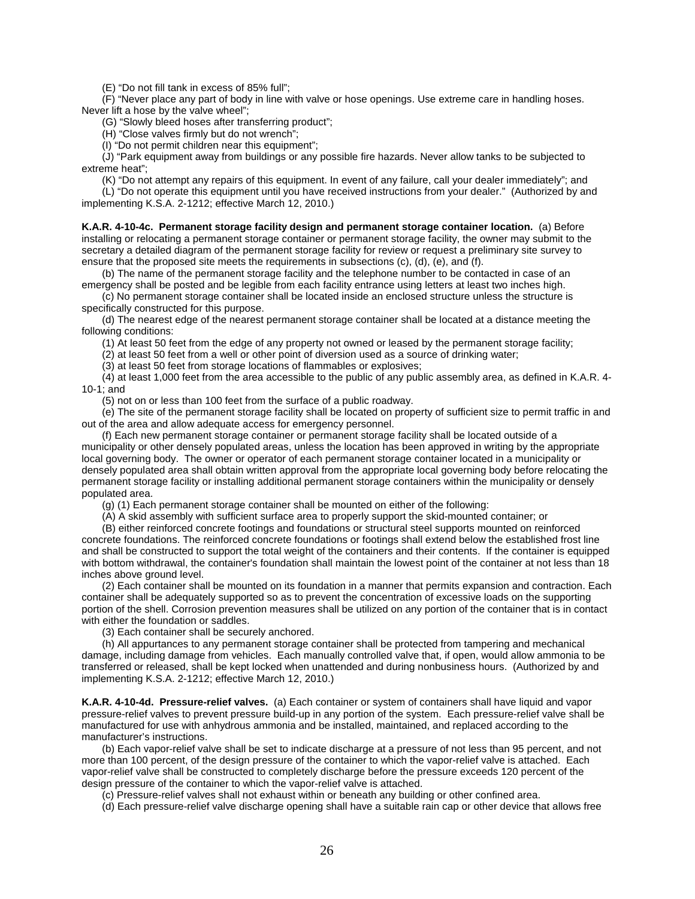(E) "Do not fill tank in excess of 85% full";

(F) "Never place any part of body in line with valve or hose openings. Use extreme care in handling hoses. Never lift a hose by the valve wheel";

(G) "Slowly bleed hoses after transferring product";

(H) "Close valves firmly but do not wrench";

(I) "Do not permit children near this equipment";

(J) "Park equipment away from buildings or any possible fire hazards. Never allow tanks to be subjected to extreme heat";

(K) "Do not attempt any repairs of this equipment. In event of any failure, call your dealer immediately"; and (L) "Do not operate this equipment until you have received instructions from your dealer." (Authorized by and implementing K.S.A. 2-1212; effective March 12, 2010.)

**K.A.R. 4-10-4c. Permanent storage facility design and permanent storage container location.** (a) Before installing or relocating a permanent storage container or permanent storage facility, the owner may submit to the secretary a detailed diagram of the permanent storage facility for review or request a preliminary site survey to ensure that the proposed site meets the requirements in subsections (c), (d), (e), and (f).

(b) The name of the permanent storage facility and the telephone number to be contacted in case of an emergency shall be posted and be legible from each facility entrance using letters at least two inches high.

(c) No permanent storage container shall be located inside an enclosed structure unless the structure is specifically constructed for this purpose.

(d) The nearest edge of the nearest permanent storage container shall be located at a distance meeting the following conditions:

(1) At least 50 feet from the edge of any property not owned or leased by the permanent storage facility;

(2) at least 50 feet from a well or other point of diversion used as a source of drinking water;

(3) at least 50 feet from storage locations of flammables or explosives;

(4) at least 1,000 feet from the area accessible to the public of any public assembly area, as defined in K.A.R. 4- 10-1; and

(5) not on or less than 100 feet from the surface of a public roadway.

(e) The site of the permanent storage facility shall be located on property of sufficient size to permit traffic in and out of the area and allow adequate access for emergency personnel.

(f) Each new permanent storage container or permanent storage facility shall be located outside of a municipality or other densely populated areas, unless the location has been approved in writing by the appropriate local governing body. The owner or operator of each permanent storage container located in a municipality or densely populated area shall obtain written approval from the appropriate local governing body before relocating the permanent storage facility or installing additional permanent storage containers within the municipality or densely populated area.

(g) (1) Each permanent storage container shall be mounted on either of the following:

(A) A skid assembly with sufficient surface area to properly support the skid-mounted container; or

(B) either reinforced concrete footings and foundations or structural steel supports mounted on reinforced concrete foundations. The reinforced concrete foundations or footings shall extend below the established frost line and shall be constructed to support the total weight of the containers and their contents. If the container is equipped with bottom withdrawal, the container's foundation shall maintain the lowest point of the container at not less than 18 inches above ground level.

(2) Each container shall be mounted on its foundation in a manner that permits expansion and contraction. Each container shall be adequately supported so as to prevent the concentration of excessive loads on the supporting portion of the shell. Corrosion prevention measures shall be utilized on any portion of the container that is in contact with either the foundation or saddles.

(3) Each container shall be securely anchored.

(h) All appurtances to any permanent storage container shall be protected from tampering and mechanical damage, including damage from vehicles. Each manually controlled valve that, if open, would allow ammonia to be transferred or released, shall be kept locked when unattended and during nonbusiness hours. (Authorized by and implementing K.S.A. 2-1212; effective March 12, 2010.)

**K.A.R. 4-10-4d. Pressure-relief valves.** (a) Each container or system of containers shall have liquid and vapor pressure-relief valves to prevent pressure build-up in any portion of the system. Each pressure-relief valve shall be manufactured for use with anhydrous ammonia and be installed, maintained, and replaced according to the manufacturer's instructions.

(b) Each vapor-relief valve shall be set to indicate discharge at a pressure of not less than 95 percent, and not more than 100 percent, of the design pressure of the container to which the vapor-relief valve is attached. Each vapor-relief valve shall be constructed to completely discharge before the pressure exceeds 120 percent of the design pressure of the container to which the vapor-relief valve is attached.

(c) Pressure-relief valves shall not exhaust within or beneath any building or other confined area.

(d) Each pressure-relief valve discharge opening shall have a suitable rain cap or other device that allows free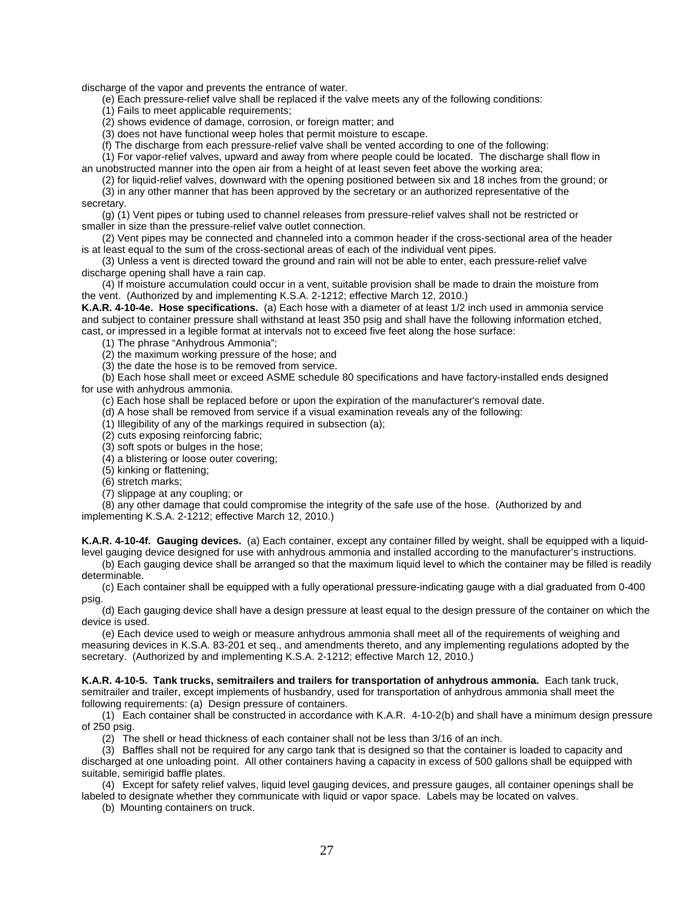discharge of the vapor and prevents the entrance of water.

(e) Each pressure-relief valve shall be replaced if the valve meets any of the following conditions:

(1) Fails to meet applicable requirements;

(2) shows evidence of damage, corrosion, or foreign matter; and

(3) does not have functional weep holes that permit moisture to escape.

(f) The discharge from each pressure-relief valve shall be vented according to one of the following:

(1) For vapor-relief valves, upward and away from where people could be located. The discharge shall flow in an unobstructed manner into the open air from a height of at least seven feet above the working area;

(2) for liquid-relief valves, downward with the opening positioned between six and 18 inches from the ground; or (3) in any other manner that has been approved by the secretary or an authorized representative of the secretary.

(g) (1) Vent pipes or tubing used to channel releases from pressure-relief valves shall not be restricted or smaller in size than the pressure-relief valve outlet connection.

(2) Vent pipes may be connected and channeled into a common header if the cross-sectional area of the header is at least equal to the sum of the cross-sectional areas of each of the individual vent pipes.

(3) Unless a vent is directed toward the ground and rain will not be able to enter, each pressure-relief valve discharge opening shall have a rain cap.

(4) If moisture accumulation could occur in a vent, suitable provision shall be made to drain the moisture from the vent. (Authorized by and implementing K.S.A. 2-1212; effective March 12, 2010.)

**K.A.R. 4-10-4e. Hose specifications.** (a) Each hose with a diameter of at least 1/2 inch used in ammonia service and subject to container pressure shall withstand at least 350 psig and shall have the following information etched, cast, or impressed in a legible format at intervals not to exceed five feet along the hose surface:

(1) The phrase "Anhydrous Ammonia";

(2) the maximum working pressure of the hose; and

(3) the date the hose is to be removed from service.

(b) Each hose shall meet or exceed ASME schedule 80 specifications and have factory-installed ends designed for use with anhydrous ammonia.

(c) Each hose shall be replaced before or upon the expiration of the manufacturer's removal date.

(d) A hose shall be removed from service if a visual examination reveals any of the following:

 $(1)$  Illegibility of any of the markings required in subsection (a);

(2) cuts exposing reinforcing fabric;

(3) soft spots or bulges in the hose;

(4) a blistering or loose outer covering;

(5) kinking or flattening;

(6) stretch marks;

(7) slippage at any coupling; or

(8) any other damage that could compromise the integrity of the safe use of the hose. (Authorized by and implementing K.S.A. 2-1212; effective March 12, 2010.)

**K.A.R. 4-10-4f. Gauging devices.** (a) Each container, except any container filled by weight, shall be equipped with a liquidlevel gauging device designed for use with anhydrous ammonia and installed according to the manufacturer's instructions.

(b) Each gauging device shall be arranged so that the maximum liquid level to which the container may be filled is readily determinable.

(c) Each container shall be equipped with a fully operational pressure-indicating gauge with a dial graduated from 0-400 psig.

(d) Each gauging device shall have a design pressure at least equal to the design pressure of the container on which the device is used.

(e) Each device used to weigh or measure anhydrous ammonia shall meet all of the requirements of weighing and measuring devices in K.S.A. 83-201 et seq., and amendments thereto, and any implementing regulations adopted by the secretary. (Authorized by and implementing K.S.A. 2-1212; effective March 12, 2010.)

**K.A.R. 4-10-5. Tank trucks, semitrailers and trailers for transportation of anhydrous ammonia.** Each tank truck, semitrailer and trailer, except implements of husbandry, used for transportation of anhydrous ammonia shall meet the following requirements: (a) Design pressure of containers.

(1) Each container shall be constructed in accordance with K.A.R. 4-10-2(b) and shall have a minimum design pressure of 250 psig.

(2) The shell or head thickness of each container shall not be less than 3/16 of an inch.

(3) Baffles shall not be required for any cargo tank that is designed so that the container is loaded to capacity and discharged at one unloading point. All other containers having a capacity in excess of 500 gallons shall be equipped with suitable, semirigid baffle plates.

(4) Except for safety relief valves, liquid level gauging devices, and pressure gauges, all container openings shall be labeled to designate whether they communicate with liquid or vapor space. Labels may be located on valves.

(b) Mounting containers on truck.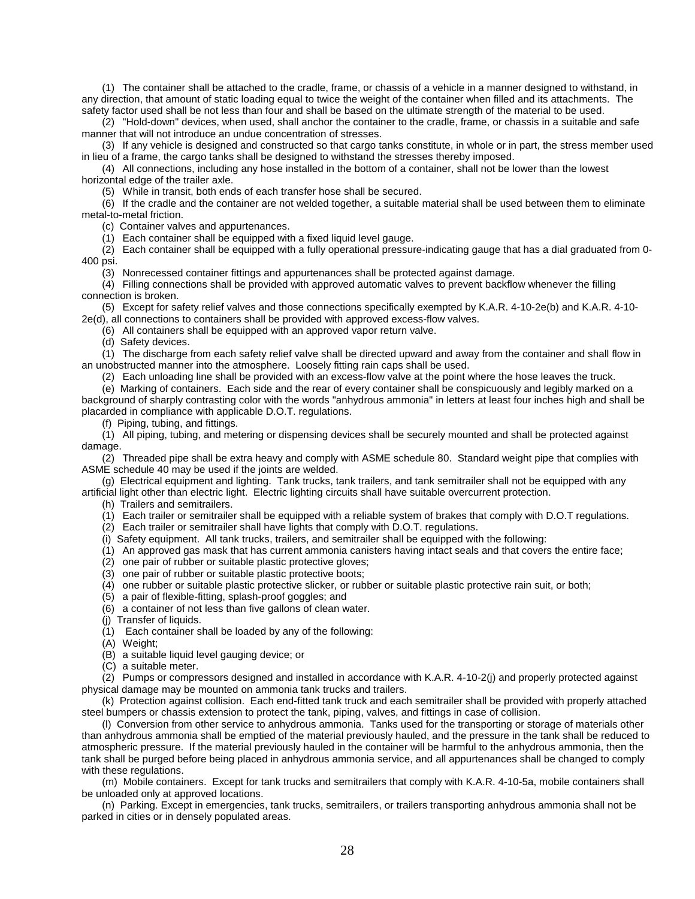(1) The container shall be attached to the cradle, frame, or chassis of a vehicle in a manner designed to withstand, in any direction, that amount of static loading equal to twice the weight of the container when filled and its attachments. The safety factor used shall be not less than four and shall be based on the ultimate strength of the material to be used.

(2) "Hold-down" devices, when used, shall anchor the container to the cradle, frame, or chassis in a suitable and safe manner that will not introduce an undue concentration of stresses.

(3) If any vehicle is designed and constructed so that cargo tanks constitute, in whole or in part, the stress member used in lieu of a frame, the cargo tanks shall be designed to withstand the stresses thereby imposed.

(4) All connections, including any hose installed in the bottom of a container, shall not be lower than the lowest horizontal edge of the trailer axle.

(5) While in transit, both ends of each transfer hose shall be secured.

(6) If the cradle and the container are not welded together, a suitable material shall be used between them to eliminate metal-to-metal friction.

(c) Container valves and appurtenances.

(1) Each container shall be equipped with a fixed liquid level gauge.

 $(2)$  Each container shall be equipped with a fully operational pressure-indicating gauge that has a dial graduated from 0-400 psi.

(3) Nonrecessed container fittings and appurtenances shall be protected against damage.

(4) Filling connections shall be provided with approved automatic valves to prevent backflow whenever the filling connection is broken.

(5) Except for safety relief valves and those connections specifically exempted by K.A.R. 4-10-2e(b) and K.A.R. 4-10- 2e(d), all connections to containers shall be provided with approved excess-flow valves.

(6) All containers shall be equipped with an approved vapor return valve.

(d) Safety devices.

(1) The discharge from each safety relief valve shall be directed upward and away from the container and shall flow in an unobstructed manner into the atmosphere. Loosely fitting rain caps shall be used.

(2) Each unloading line shall be provided with an excess-flow valve at the point where the hose leaves the truck.

(e) Marking of containers. Each side and the rear of every container shall be conspicuously and legibly marked on a background of sharply contrasting color with the words "anhydrous ammonia" in letters at least four inches high and shall be placarded in compliance with applicable D.O.T. regulations.

(f) Piping, tubing, and fittings.

(1) All piping, tubing, and metering or dispensing devices shall be securely mounted and shall be protected against damage.

(2) Threaded pipe shall be extra heavy and comply with ASME schedule 80. Standard weight pipe that complies with ASME schedule 40 may be used if the joints are welded.

(g) Electrical equipment and lighting. Tank trucks, tank trailers, and tank semitrailer shall not be equipped with any artificial light other than electric light. Electric lighting circuits shall have suitable overcurrent protection.

(h) Trailers and semitrailers.

(1) Each trailer or semitrailer shall be equipped with a reliable system of brakes that comply with D.O.T regulations.

- (2) Each trailer or semitrailer shall have lights that comply with D.O.T. regulations.
- (i) Safety equipment. All tank trucks, trailers, and semitrailer shall be equipped with the following:
- (1) An approved gas mask that has current ammonia canisters having intact seals and that covers the entire face;
- $(2)$  one pair of rubber or suitable plastic protective gloves;
- (3) one pair of rubber or suitable plastic protective boots;
- (4) one rubber or suitable plastic protective slicker, or rubber or suitable plastic protective rain suit, or both;
- (5) a pair of flexible-fitting, splash-proof goggles; and
- (6) a container of not less than five gallons of clean water.

(j) Transfer of liquids.

- (1) Each container shall be loaded by any of the following:
- (A) Weight;
- (B) a suitable liquid level gauging device; or
- (C) a suitable meter.

(2) Pumps or compressors designed and installed in accordance with K.A.R. 4-10-2(j) and properly protected against physical damage may be mounted on ammonia tank trucks and trailers.

(k) Protection against collision. Each end-fitted tank truck and each semitrailer shall be provided with properly attached steel bumpers or chassis extension to protect the tank, piping, valves, and fittings in case of collision.

(l) Conversion from other service to anhydrous ammonia. Tanks used for the transporting or storage of materials other than anhydrous ammonia shall be emptied of the material previously hauled, and the pressure in the tank shall be reduced to atmospheric pressure. If the material previously hauled in the container will be harmful to the anhydrous ammonia, then the tank shall be purged before being placed in anhydrous ammonia service, and all appurtenances shall be changed to comply with these regulations.

(m) Mobile containers. Except for tank trucks and semitrailers that comply with K.A.R. 4-10-5a, mobile containers shall be unloaded only at approved locations.

(n) Parking. Except in emergencies, tank trucks, semitrailers, or trailers transporting anhydrous ammonia shall not be parked in cities or in densely populated areas.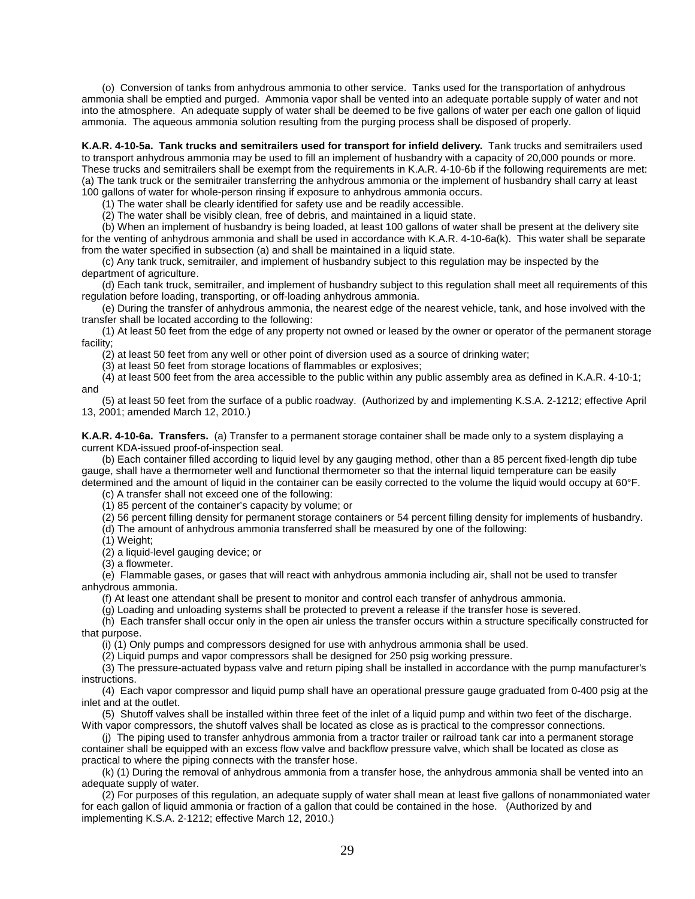(o) Conversion of tanks from anhydrous ammonia to other service. Tanks used for the transportation of anhydrous ammonia shall be emptied and purged. Ammonia vapor shall be vented into an adequate portable supply of water and not into the atmosphere. An adequate supply of water shall be deemed to be five gallons of water per each one gallon of liquid ammonia. The aqueous ammonia solution resulting from the purging process shall be disposed of properly.

**K.A.R. 4-10-5a. Tank trucks and semitrailers used for transport for infield delivery.** Tank trucks and semitrailers used to transport anhydrous ammonia may be used to fill an implement of husbandry with a capacity of 20,000 pounds or more. These trucks and semitrailers shall be exempt from the requirements in K.A.R. 4-10-6b if the following requirements are met: (a) The tank truck or the semitrailer transferring the anhydrous ammonia or the implement of husbandry shall carry at least 100 gallons of water for whole-person rinsing if exposure to anhydrous ammonia occurs.

(1) The water shall be clearly identified for safety use and be readily accessible.

(2) The water shall be visibly clean, free of debris, and maintained in a liquid state.

(b) When an implement of husbandry is being loaded, at least 100 gallons of water shall be present at the delivery site for the venting of anhydrous ammonia and shall be used in accordance with K.A.R. 4-10-6a(k). This water shall be separate from the water specified in subsection (a) and shall be maintained in a liquid state.

(c) Any tank truck, semitrailer, and implement of husbandry subject to this regulation may be inspected by the department of agriculture.

(d) Each tank truck, semitrailer, and implement of husbandry subject to this regulation shall meet all requirements of this regulation before loading, transporting, or off-loading anhydrous ammonia.

(e) During the transfer of anhydrous ammonia, the nearest edge of the nearest vehicle, tank, and hose involved with the transfer shall be located according to the following:

(1) At least 50 feet from the edge of any property not owned or leased by the owner or operator of the permanent storage facility;

(2) at least 50 feet from any well or other point of diversion used as a source of drinking water;

(3) at least 50 feet from storage locations of flammables or explosives;

(4) at least 500 feet from the area accessible to the public within any public assembly area as defined in K.A.R. 4-10-1; and

(5) at least 50 feet from the surface of a public roadway. (Authorized by and implementing K.S.A. 2-1212; effective April 13, 2001; amended March 12, 2010.)

**K.A.R. 4-10-6a. Transfers.** (a) Transfer to a permanent storage container shall be made only to a system displaying a current KDA-issued proof-of-inspection seal.

(b) Each container filled according to liquid level by any gauging method, other than a 85 percent fixed-length dip tube gauge, shall have a thermometer well and functional thermometer so that the internal liquid temperature can be easily determined and the amount of liquid in the container can be easily corrected to the volume the liquid would occupy at 60°F.

(c) A transfer shall not exceed one of the following:

(1) 85 percent of the container's capacity by volume; or

(2) 56 percent filling density for permanent storage containers or 54 percent filling density for implements of husbandry.

(d) The amount of anhydrous ammonia transferred shall be measured by one of the following:

(1) Weight;

(2) a liquid-level gauging device; or

(3) a flowmeter.

(e) Flammable gases, or gases that will react with anhydrous ammonia including air, shall not be used to transfer anhydrous ammonia.

(f) At least one attendant shall be present to monitor and control each transfer of anhydrous ammonia.

(g) Loading and unloading systems shall be protected to prevent a release if the transfer hose is severed.

(h) Each transfer shall occur only in the open air unless the transfer occurs within a structure specifically constructed for that purpose.

(i) (1) Only pumps and compressors designed for use with anhydrous ammonia shall be used.

(2) Liquid pumps and vapor compressors shall be designed for 250 psig working pressure.

(3) The pressure-actuated bypass valve and return piping shall be installed in accordance with the pump manufacturer's instructions.

(4) Each vapor compressor and liquid pump shall have an operational pressure gauge graduated from 0-400 psig at the inlet and at the outlet.

(5) Shutoff valves shall be installed within three feet of the inlet of a liquid pump and within two feet of the discharge. With vapor compressors, the shutoff valves shall be located as close as is practical to the compressor connections.

(j) The piping used to transfer anhydrous ammonia from a tractor trailer or railroad tank car into a permanent storage container shall be equipped with an excess flow valve and backflow pressure valve, which shall be located as close as practical to where the piping connects with the transfer hose.

(k) (1) During the removal of anhydrous ammonia from a transfer hose, the anhydrous ammonia shall be vented into an adequate supply of water.

(2) For purposes of this regulation, an adequate supply of water shall mean at least five gallons of nonammoniated water for each gallon of liquid ammonia or fraction of a gallon that could be contained in the hose. (Authorized by and implementing K.S.A. 2-1212; effective March 12, 2010.)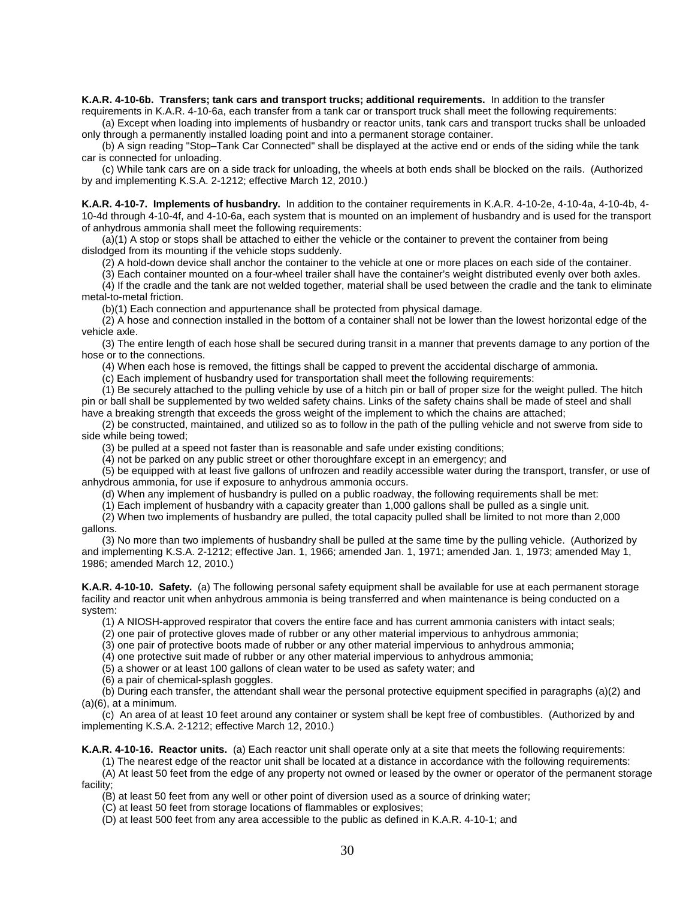**K.A.R. 4-10-6b. Transfers; tank cars and transport trucks; additional requirements.** In addition to the transfer

requirements in K.A.R. 4-10-6a, each transfer from a tank car or transport truck shall meet the following requirements: (a) Except when loading into implements of husbandry or reactor units, tank cars and transport trucks shall be unloaded

only through a permanently installed loading point and into a permanent storage container. (b) A sign reading "Stop–Tank Car Connected" shall be displayed at the active end or ends of the siding while the tank car is connected for unloading.

(c) While tank cars are on a side track for unloading, the wheels at both ends shall be blocked on the rails. (Authorized by and implementing K.S.A. 2-1212; effective March 12, 2010.)

**K.A.R. 4-10-7. Implements of husbandry.** In addition to the container requirements in K.A.R. 4-10-2e, 4-10-4a, 4-10-4b, 4- 10-4d through 4-10-4f, and 4-10-6a, each system that is mounted on an implement of husbandry and is used for the transport of anhydrous ammonia shall meet the following requirements:

(a)(1) A stop or stops shall be attached to either the vehicle or the container to prevent the container from being dislodged from its mounting if the vehicle stops suddenly.

(2) A hold-down device shall anchor the container to the vehicle at one or more places on each side of the container.

(3) Each container mounted on a four-wheel trailer shall have the container's weight distributed evenly over both axles.

(4) If the cradle and the tank are not welded together, material shall be used between the cradle and the tank to eliminate metal-to-metal friction.

(b)(1) Each connection and appurtenance shall be protected from physical damage.

(2) A hose and connection installed in the bottom of a container shall not be lower than the lowest horizontal edge of the vehicle axle.

(3) The entire length of each hose shall be secured during transit in a manner that prevents damage to any portion of the hose or to the connections.

(4) When each hose is removed, the fittings shall be capped to prevent the accidental discharge of ammonia.

(c) Each implement of husbandry used for transportation shall meet the following requirements:

(1) Be securely attached to the pulling vehicle by use of a hitch pin or ball of proper size for the weight pulled. The hitch pin or ball shall be supplemented by two welded safety chains. Links of the safety chains shall be made of steel and shall have a breaking strength that exceeds the gross weight of the implement to which the chains are attached;

(2) be constructed, maintained, and utilized so as to follow in the path of the pulling vehicle and not swerve from side to side while being towed;

(3) be pulled at a speed not faster than is reasonable and safe under existing conditions;

(4) not be parked on any public street or other thoroughfare except in an emergency; and

(5) be equipped with at least five gallons of unfrozen and readily accessible water during the transport, transfer, or use of anhydrous ammonia, for use if exposure to anhydrous ammonia occurs.

(d) When any implement of husbandry is pulled on a public roadway, the following requirements shall be met:

(1) Each implement of husbandry with a capacity greater than 1,000 gallons shall be pulled as a single unit.

(2) When two implements of husbandry are pulled, the total capacity pulled shall be limited to not more than 2,000 gallons.

(3) No more than two implements of husbandry shall be pulled at the same time by the pulling vehicle. (Authorized by and implementing K.S.A. 2-1212; effective Jan. 1, 1966; amended Jan. 1, 1971; amended Jan. 1, 1973; amended May 1, 1986; amended March 12, 2010.)

**K.A.R. 4-10-10. Safety.** (a) The following personal safety equipment shall be available for use at each permanent storage facility and reactor unit when anhydrous ammonia is being transferred and when maintenance is being conducted on a system:

(1) A NIOSH-approved respirator that covers the entire face and has current ammonia canisters with intact seals;

(2) one pair of protective gloves made of rubber or any other material impervious to anhydrous ammonia;

(3) one pair of protective boots made of rubber or any other material impervious to anhydrous ammonia;

(4) one protective suit made of rubber or any other material impervious to anhydrous ammonia;

(5) a shower or at least 100 gallons of clean water to be used as safety water; and

(6) a pair of chemical-splash goggles.

(b) During each transfer, the attendant shall wear the personal protective equipment specified in paragraphs (a)(2) and  $(a)(6)$ , at a minimum.

(c) An area of at least 10 feet around any container or system shall be kept free of combustibles. (Authorized by and implementing K.S.A. 2-1212; effective March 12, 2010.)

**K.A.R. 4-10-16. Reactor units.** (a) Each reactor unit shall operate only at a site that meets the following requirements:

(1) The nearest edge of the reactor unit shall be located at a distance in accordance with the following requirements:

(A) At least 50 feet from the edge of any property not owned or leased by the owner or operator of the permanent storage facility;

(B) at least 50 feet from any well or other point of diversion used as a source of drinking water;

(C) at least 50 feet from storage locations of flammables or explosives;

(D) at least 500 feet from any area accessible to the public as defined in K.A.R. 4-10-1; and